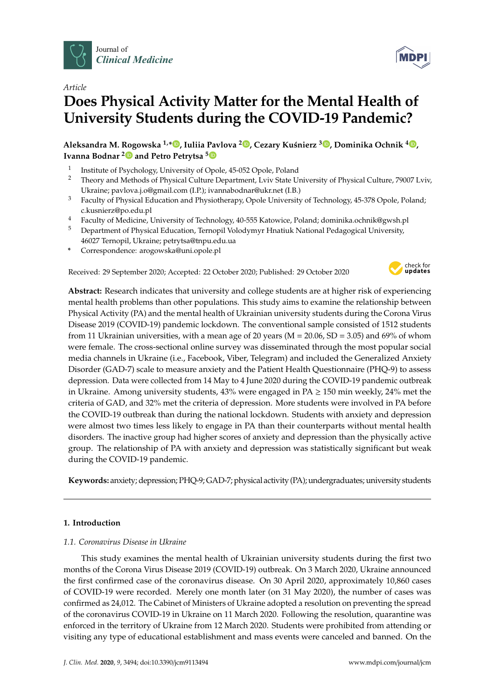

*Article*

# **Does Physical Activity Matter for the Mental Health of University Students during the COVID-19 Pandemic?**

**Aleksandra M. Rogowska 1,[\\*](https://orcid.org/0000-0002-4621-8916) , Iuliia Pavlova <sup>2</sup> [,](https://orcid.org/0000-0002-8111-4469) Cezary Ku´snierz <sup>3</sup> [,](https://orcid.org/0000-0001-5912-5316) Dominika Ochnik <sup>4</sup> [,](https://orcid.org/0000-0002-9019-7091) Ivanna Bodnar [2](https://orcid.org/0000-0002-7083-6271) and Petro Petrytsa [5](https://orcid.org/0000-0002-7164-1900)**

- 1 Institute of Psychology, University of Opole, 45-052 Opole, Poland
- <sup>2</sup> Theory and Methods of Physical Culture Department, Lviv State University of Physical Culture, 79007 Lviv, Ukraine; pavlova.j.o@gmail.com (I.P.); ivannabodnar@ukr.net (I.B.)
- <sup>3</sup> Faculty of Physical Education and Physiotherapy, Opole University of Technology, 45-378 Opole, Poland; c.kusnierz@po.edu.pl
- <sup>4</sup> Faculty of Medicine, University of Technology, 40-555 Katowice, Poland; dominika.ochnik@gwsh.pl
- <sup>5</sup> Department of Physical Education, Ternopil Volodymyr Hnatiuk National Pedagogical University, 46027 Ternopil, Ukraine; petrytsa@tnpu.edu.ua
- **\*** Correspondence: arogowska@uni.opole.pl

Received: 29 September 2020; Accepted: 22 October 2020; Published: 29 October 2020



**Abstract:** Research indicates that university and college students are at higher risk of experiencing mental health problems than other populations. This study aims to examine the relationship between Physical Activity (PA) and the mental health of Ukrainian university students during the Corona Virus Disease 2019 (COVID-19) pandemic lockdown. The conventional sample consisted of 1512 students from 11 Ukrainian universities, with a mean age of 20 years ( $M = 20.06$ ,  $SD = 3.05$ ) and 69% of whom were female. The cross-sectional online survey was disseminated through the most popular social media channels in Ukraine (i.e., Facebook, Viber, Telegram) and included the Generalized Anxiety Disorder (GAD-7) scale to measure anxiety and the Patient Health Questionnaire (PHQ-9) to assess depression. Data were collected from 14 May to 4 June 2020 during the COVID-19 pandemic outbreak in Ukraine. Among university students, 43% were engaged in  $PA \ge 150$  min weekly, 24% met the criteria of GAD, and 32% met the criteria of depression. More students were involved in PA before the COVID-19 outbreak than during the national lockdown. Students with anxiety and depression were almost two times less likely to engage in PA than their counterparts without mental health disorders. The inactive group had higher scores of anxiety and depression than the physically active group. The relationship of PA with anxiety and depression was statistically significant but weak during the COVID-19 pandemic.

**Keywords:** anxiety; depression; PHQ-9; GAD-7; physical activity (PA); undergraduates; university students

# **1. Introduction**

# *1.1. Coronavirus Disease in Ukraine*

This study examines the mental health of Ukrainian university students during the first two months of the Corona Virus Disease 2019 (COVID-19) outbreak. On 3 March 2020, Ukraine announced the first confirmed case of the coronavirus disease. On 30 April 2020, approximately 10,860 cases of COVID-19 were recorded. Merely one month later (on 31 May 2020), the number of cases was confirmed as 24,012. The Cabinet of Ministers of Ukraine adopted a resolution on preventing the spread of the coronavirus COVID-19 in Ukraine on 11 March 2020. Following the resolution, quarantine was enforced in the territory of Ukraine from 12 March 2020. Students were prohibited from attending or visiting any type of educational establishment and mass events were canceled and banned. On the

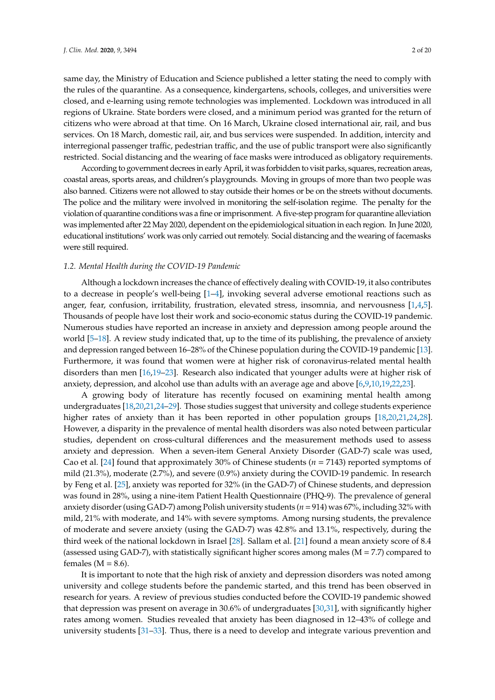same day, the Ministry of Education and Science published a letter stating the need to comply with the rules of the quarantine. As a consequence, kindergartens, schools, colleges, and universities were closed, and e-learning using remote technologies was implemented. Lockdown was introduced in all regions of Ukraine. State borders were closed, and a minimum period was granted for the return of citizens who were abroad at that time. On 16 March, Ukraine closed international air, rail, and bus services. On 18 March, domestic rail, air, and bus services were suspended. In addition, intercity and interregional passenger traffic, pedestrian traffic, and the use of public transport were also significantly restricted. Social distancing and the wearing of face masks were introduced as obligatory requirements.

According to government decrees in early April, it was forbidden to visit parks, squares, recreation areas, coastal areas, sports areas, and children's playgrounds. Moving in groups of more than two people was also banned. Citizens were not allowed to stay outside their homes or be on the streets without documents. The police and the military were involved in monitoring the self-isolation regime. The penalty for the violation of quarantine conditions was a fine or imprisonment. A five-step program for quarantine alleviation was implemented after 22 May 2020, dependent on the epidemiological situation in each region. In June 2020, educational institutions' work was only carried out remotely. Social distancing and the wearing of facemasks were still required.

# *1.2. Mental Health during the COVID-19 Pandemic*

Although a lockdown increases the chance of effectively dealing with COVID-19, it also contributes to a decrease in people's well-being [\[1–](#page-15-0)[4\]](#page-15-1), invoking several adverse emotional reactions such as anger, fear, confusion, irritability, frustration, elevated stress, insomnia, and nervousness [\[1,](#page-15-0)[4,](#page-15-1)[5\]](#page-15-2). Thousands of people have lost their work and socio-economic status during the COVID-19 pandemic. Numerous studies have reported an increase in anxiety and depression among people around the world [\[5](#page-15-2)[–18\]](#page-16-0). A review study indicated that, up to the time of its publishing, the prevalence of anxiety and depression ranged between 16–28% of the Chinese population during the COVID-19 pandemic [\[13\]](#page-15-3). Furthermore, it was found that women were at higher risk of coronavirus-related mental health disorders than men [\[16,](#page-16-1)[19–](#page-16-2)[23\]](#page-16-3). Research also indicated that younger adults were at higher risk of anxiety, depression, and alcohol use than adults with an average age and above [\[6,](#page-15-4)[9,](#page-15-5)[10,](#page-15-6)[19](#page-16-2)[,22](#page-16-4)[,23\]](#page-16-3).

A growing body of literature has recently focused on examining mental health among undergraduates [\[18,](#page-16-0)[20](#page-16-5)[,21](#page-16-6)[,24–](#page-16-7)[29\]](#page-16-8). Those studies suggest that university and college students experience higher rates of anxiety than it has been reported in other population groups [\[18,](#page-16-0)[20,](#page-16-5)[21,](#page-16-6)[24,](#page-16-7)[28\]](#page-16-9). However, a disparity in the prevalence of mental health disorders was also noted between particular studies, dependent on cross-cultural differences and the measurement methods used to assess anxiety and depression. When a seven-item General Anxiety Disorder (GAD-7) scale was used, Cao et al. [\[24\]](#page-16-7) found that approximately 30% of Chinese students (*n* = 7143) reported symptoms of mild (21.3%), moderate (2.7%), and severe (0.9%) anxiety during the COVID-19 pandemic. In research by Feng et al. [\[25\]](#page-16-10), anxiety was reported for 32% (in the GAD-7) of Chinese students, and depression was found in 28%, using a nine-item Patient Health Questionnaire (PHQ-9). The prevalence of general anxiety disorder (using GAD-7) among Polish university students (*n* = 914) was 67%, including 32% with mild, 21% with moderate, and 14% with severe symptoms. Among nursing students, the prevalence of moderate and severe anxiety (using the GAD-7) was 42.8% and 13.1%, respectively, during the third week of the national lockdown in Israel [\[28\]](#page-16-9). Sallam et al. [\[21\]](#page-16-6) found a mean anxiety score of 8.4 (assessed using GAD-7), with statistically significant higher scores among males ( $M = 7.7$ ) compared to females ( $M = 8.6$ ).

It is important to note that the high risk of anxiety and depression disorders was noted among university and college students before the pandemic started, and this trend has been observed in research for years. A review of previous studies conducted before the COVID-19 pandemic showed that depression was present on average in 30.6% of undergraduates [\[30,](#page-16-11)[31\]](#page-16-12), with significantly higher rates among women. Studies revealed that anxiety has been diagnosed in 12–43% of college and university students [\[31](#page-16-12)[–33\]](#page-16-13). Thus, there is a need to develop and integrate various prevention and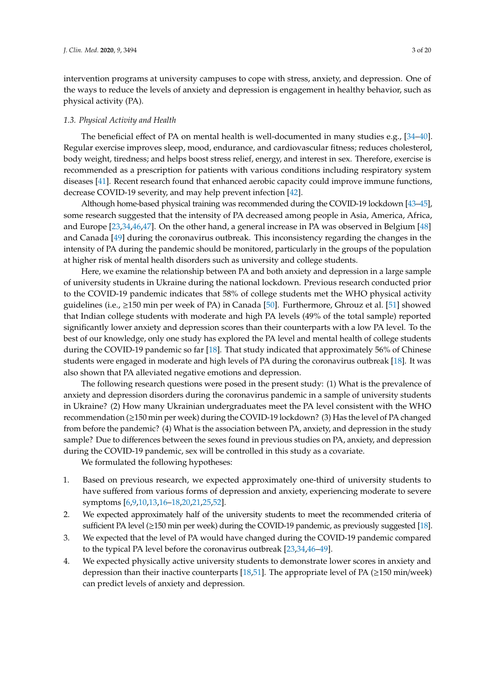intervention programs at university campuses to cope with stress, anxiety, and depression. One of the ways to reduce the levels of anxiety and depression is engagement in healthy behavior, such as physical activity (PA).

#### *1.3. Physical Activity and Health*

The beneficial effect of PA on mental health is well-documented in many studies e.g., [\[34–](#page-16-14)[40\]](#page-17-0). Regular exercise improves sleep, mood, endurance, and cardiovascular fitness; reduces cholesterol, body weight, tiredness; and helps boost stress relief, energy, and interest in sex. Therefore, exercise is recommended as a prescription for patients with various conditions including respiratory system diseases [\[41\]](#page-17-1). Recent research found that enhanced aerobic capacity could improve immune functions, decrease COVID-19 severity, and may help prevent infection [\[42\]](#page-17-2).

Although home-based physical training was recommended during the COVID-19 lockdown [\[43](#page-17-3)[–45\]](#page-17-4), some research suggested that the intensity of PA decreased among people in Asia, America, Africa, and Europe [\[23](#page-16-3)[,34,](#page-16-14)[46](#page-17-5)[,47\]](#page-17-6). On the other hand, a general increase in PA was observed in Belgium [\[48\]](#page-17-7) and Canada [\[49\]](#page-17-8) during the coronavirus outbreak. This inconsistency regarding the changes in the intensity of PA during the pandemic should be monitored, particularly in the groups of the population at higher risk of mental health disorders such as university and college students.

Here, we examine the relationship between PA and both anxiety and depression in a large sample of university students in Ukraine during the national lockdown. Previous research conducted prior to the COVID-19 pandemic indicates that 58% of college students met the WHO physical activity guidelines (i.e.,  $\geq$ 150 min per week of PA) in Canada [\[50\]](#page-17-9). Furthermore, Ghrouz et al. [\[51\]](#page-17-10) showed that Indian college students with moderate and high PA levels (49% of the total sample) reported significantly lower anxiety and depression scores than their counterparts with a low PA level. To the best of our knowledge, only one study has explored the PA level and mental health of college students during the COVID-19 pandemic so far [\[18\]](#page-16-0). That study indicated that approximately 56% of Chinese students were engaged in moderate and high levels of PA during the coronavirus outbreak [\[18\]](#page-16-0). It was also shown that PA alleviated negative emotions and depression.

The following research questions were posed in the present study: (1) What is the prevalence of anxiety and depression disorders during the coronavirus pandemic in a sample of university students in Ukraine? (2) How many Ukrainian undergraduates meet the PA level consistent with the WHO recommendation (≥150 min per week) during the COVID-19 lockdown? (3) Has the level of PA changed from before the pandemic? (4) What is the association between PA, anxiety, and depression in the study sample? Due to differences between the sexes found in previous studies on PA, anxiety, and depression during the COVID-19 pandemic, sex will be controlled in this study as a covariate.

We formulated the following hypotheses:

- 1. Based on previous research, we expected approximately one-third of university students to have suffered from various forms of depression and anxiety, experiencing moderate to severe symptoms [\[6,](#page-15-4)[9,](#page-15-5)[10,](#page-15-6)[13,](#page-15-3)[16](#page-16-1)[–18](#page-16-0)[,20](#page-16-5)[,21](#page-16-6)[,25](#page-16-10)[,52\]](#page-17-11).
- 2. We expected approximately half of the university students to meet the recommended criteria of sufficient PA level (≥150 min per week) during the COVID-19 pandemic, as previously suggested [\[18\]](#page-16-0).
- 3. We expected that the level of PA would have changed during the COVID-19 pandemic compared to the typical PA level before the coronavirus outbreak [\[23,](#page-16-3)[34,](#page-16-14)[46–](#page-17-5)[49\]](#page-17-8).
- 4. We expected physically active university students to demonstrate lower scores in anxiety and depression than their inactive counterparts [ $18,51$ ]. The appropriate level of PA ( $\geq$ 150 min/week) can predict levels of anxiety and depression.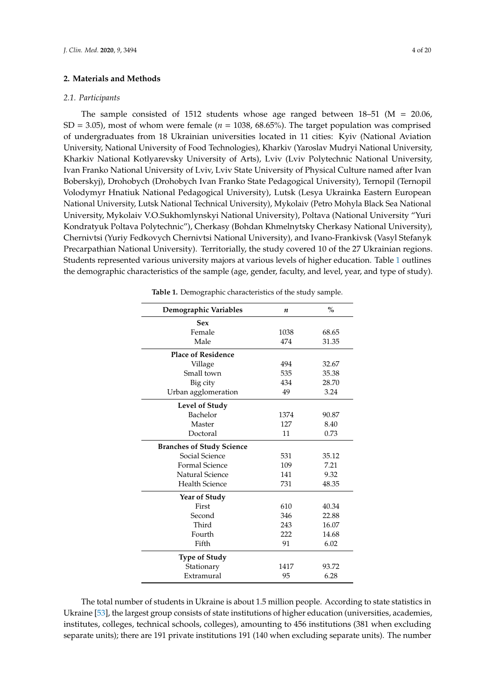# **2. Materials and Methods**

## *2.1. Participants*

The sample consisted of 1512 students whose age ranged between  $18-51$  (M = 20.06, SD = 3.05), most of whom were female ( $n = 1038, 68.65\%$ ). The target population was comprised of undergraduates from 18 Ukrainian universities located in 11 cities: Kyiv (National Aviation University, National University of Food Technologies), Kharkiv (Yaroslav Mudryi National University, Kharkiv National Kotlyarevsky University of Arts), Lviv (Lviv Polytechnic National University, Ivan Franko National University of Lviv, Lviv State University of Physical Culture named after Ivan Boberskyj), Drohobych (Drohobych Ivan Franko State Pedagogical University), Ternopil (Ternopil Volodymyr Hnatiuk National Pedagogical University), Lutsk (Lesya Ukrainka Eastern European National University, Lutsk National Technical University), Mykolaiv (Petro Mohyla Black Sea National University, Mykolaiv V.O.Sukhomlynskyi National University), Poltava (National University "Yuri Kondratyuk Poltava Polytechnic"), Cherkasy (Bohdan Khmelnytsky Cherkasy National University), Chernivtsi (Yuriy Fedkovych Chernivtsi National University), and Ivano-Frankivsk (Vasyl Stefanyk Precarpathian National University). Territorially, the study covered 10 of the 27 Ukrainian regions. Students represented various university majors at various levels of higher education. Table [1](#page-3-0) outlines the demographic characteristics of the sample (age, gender, faculty, and level, year, and type of study).

<span id="page-3-0"></span>

| Demographic Variables            | n    | $\%$  |
|----------------------------------|------|-------|
| Sex                              |      |       |
| Female                           | 1038 | 68.65 |
| Male                             | 474  | 31.35 |
| <b>Place of Residence</b>        |      |       |
| Village                          | 494  | 32.67 |
| Small town                       | 535  | 35.38 |
| Big city                         | 434  | 28.70 |
| Urban agglomeration              | 49   | 3.24  |
| <b>Level of Study</b>            |      |       |
| Bachelor                         | 1374 | 90.87 |
| Master                           | 127  | 8.40  |
| Doctoral                         | 11   | 0.73  |
| <b>Branches of Study Science</b> |      |       |
| Social Science                   | 531  | 35.12 |
| Formal Science                   | 109  | 7.21  |
| <b>Natural Science</b>           | 141  | 9.32  |
| <b>Health Science</b>            | 731  | 48.35 |
| Year of Study                    |      |       |
| First                            | 610  | 40.34 |
| Second                           | 346  | 22.88 |
| Third                            | 243  | 16.07 |
| Fourth                           | 222  | 14.68 |
| Fifth                            | 91   | 6.02  |
| <b>Type of Study</b>             |      |       |
| Stationary                       | 1417 | 93.72 |
| Extramural                       | 95   | 6.28  |

**Table 1.** Demographic characteristics of the study sample.

The total number of students in Ukraine is about 1.5 million people. According to state statistics in Ukraine [\[53\]](#page-17-12), the largest group consists of state institutions of higher education (universities, academies, institutes, colleges, technical schools, colleges), amounting to 456 institutions (381 when excluding separate units); there are 191 private institutions 191 (140 when excluding separate units). The number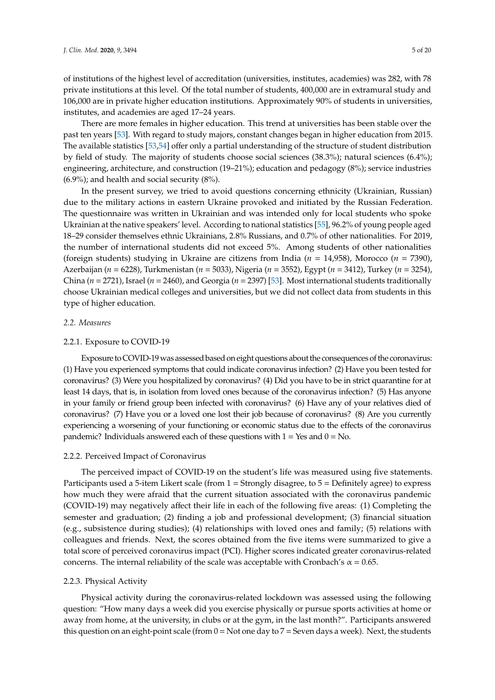of institutions of the highest level of accreditation (universities, institutes, academies) was 282, with 78 private institutions at this level. Of the total number of students, 400,000 are in extramural study and 106,000 are in private higher education institutions. Approximately 90% of students in universities, institutes, and academies are aged 17–24 years.

There are more females in higher education. This trend at universities has been stable over the past ten years [\[53\]](#page-17-12). With regard to study majors, constant changes began in higher education from 2015. The available statistics [\[53](#page-17-12)[,54\]](#page-17-13) offer only a partial understanding of the structure of student distribution by field of study. The majority of students choose social sciences (38.3%); natural sciences (6.4%); engineering, architecture, and construction (19–21%); education and pedagogy (8%); service industries (6.9%); and health and social security (8%).

In the present survey, we tried to avoid questions concerning ethnicity (Ukrainian, Russian) due to the military actions in eastern Ukraine provoked and initiated by the Russian Federation. The questionnaire was written in Ukrainian and was intended only for local students who spoke Ukrainian at the native speakers' level. According to national statistics [\[55\]](#page-17-14), 96.2% of young people aged 18–29 consider themselves ethnic Ukrainians, 2.8% Russians, and 0.7% of other nationalities. For 2019, the number of international students did not exceed 5%. Among students of other nationalities (foreign students) studying in Ukraine are citizens from India (*n* = 14,958), Morocco (*n* = 7390), Azerbaijan (*n* = 6228), Turkmenistan (*n* = 5033), Nigeria (*n* = 3552), Egypt (*n* = 3412), Turkey (*n* = 3254), China (*n* = 2721), Israel (*n* = 2460), and Georgia (*n* = 2397) [\[53\]](#page-17-12). Most international students traditionally choose Ukrainian medical colleges and universities, but we did not collect data from students in this type of higher education.

# *2.2. Measures*

#### 2.2.1. Exposure to COVID-19

Exposure to COVID-19was assessed based on eight questions about the consequences of the coronavirus: (1) Have you experienced symptoms that could indicate coronavirus infection? (2) Have you been tested for coronavirus? (3) Were you hospitalized by coronavirus? (4) Did you have to be in strict quarantine for at least 14 days, that is, in isolation from loved ones because of the coronavirus infection? (5) Has anyone in your family or friend group been infected with coronavirus? (6) Have any of your relatives died of coronavirus? (7) Have you or a loved one lost their job because of coronavirus? (8) Are you currently experiencing a worsening of your functioning or economic status due to the effects of the coronavirus pandemic? Individuals answered each of these questions with  $1 = Yes$  and  $0 = No$ .

#### 2.2.2. Perceived Impact of Coronavirus

The perceived impact of COVID-19 on the student's life was measured using five statements. Participants used a 5-item Likert scale (from 1 = Strongly disagree, to 5 = Definitely agree) to express how much they were afraid that the current situation associated with the coronavirus pandemic (COVID-19) may negatively affect their life in each of the following five areas: (1) Completing the semester and graduation; (2) finding a job and professional development; (3) financial situation (e.g., subsistence during studies); (4) relationships with loved ones and family; (5) relations with colleagues and friends. Next, the scores obtained from the five items were summarized to give a total score of perceived coronavirus impact (PCI). Higher scores indicated greater coronavirus-related concerns. The internal reliability of the scale was acceptable with Cronbach's  $\alpha = 0.65$ .

#### 2.2.3. Physical Activity

Physical activity during the coronavirus-related lockdown was assessed using the following question: "How many days a week did you exercise physically or pursue sports activities at home or away from home, at the university, in clubs or at the gym, in the last month?". Participants answered this question on an eight-point scale (from  $0 = Not$  one day to  $7 = Seven$  days a week). Next, the students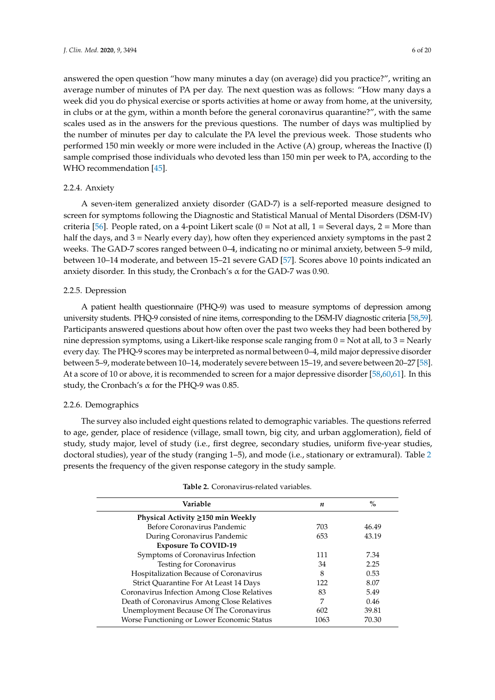answered the open question "how many minutes a day (on average) did you practice?", writing an average number of minutes of PA per day. The next question was as follows: "How many days a week did you do physical exercise or sports activities at home or away from home, at the university, in clubs or at the gym, within a month before the general coronavirus quarantine?", with the same scales used as in the answers for the previous questions. The number of days was multiplied by the number of minutes per day to calculate the PA level the previous week. Those students who performed 150 min weekly or more were included in the Active (A) group, whereas the Inactive (I) sample comprised those individuals who devoted less than 150 min per week to PA, according to the WHO recommendation [\[45\]](#page-17-4).

#### 2.2.4. Anxiety

A seven-item generalized anxiety disorder (GAD-7) is a self-reported measure designed to screen for symptoms following the Diagnostic and Statistical Manual of Mental Disorders (DSM-IV) criteria [\[56\]](#page-17-15). People rated, on a 4-point Likert scale ( $0 = Not$  at all,  $1 = Several$  days,  $2 = More$  than half the days, and  $3 =$  Nearly every day), how often they experienced anxiety symptoms in the past 2 weeks. The GAD-7 scores ranged between 0–4, indicating no or minimal anxiety, between 5–9 mild, between 10–14 moderate, and between 15–21 severe GAD [\[57\]](#page-18-0). Scores above 10 points indicated an anxiety disorder. In this study, the Cronbach's  $\alpha$  for the GAD-7 was 0.90.

#### 2.2.5. Depression

A patient health questionnaire (PHQ-9) was used to measure symptoms of depression among university students. PHQ-9 consisted of nine items, corresponding to the DSM-IV diagnostic criteria [\[58,](#page-18-1)[59\]](#page-18-2). Participants answered questions about how often over the past two weeks they had been bothered by nine depression symptoms, using a Likert-like response scale ranging from  $0 = Not$  at all, to  $3 = Nearly$ every day. The PHQ-9 scores may be interpreted as normal between 0–4, mild major depressive disorder between 5–9, moderate between 10–14, moderately severe between 15–19, and severe between 20–27 [\[58\]](#page-18-1). At a score of 10 or above, it is recommended to screen for a major depressive disorder [\[58,](#page-18-1)[60,](#page-18-3)[61\]](#page-18-4). In this study, the Cronbach's  $\alpha$  for the PHQ-9 was 0.85.

#### 2.2.6. Demographics

The survey also included eight questions related to demographic variables. The questions referred to age, gender, place of residence (village, small town, big city, and urban agglomeration), field of study, study major, level of study (i.e., first degree, secondary studies, uniform five-year studies, doctoral studies), year of the study (ranging 1–5), and mode (i.e., stationary or extramural). Table [2](#page-6-0) presents the frequency of the given response category in the study sample.

| Variable                                    | n    | $\frac{0}{0}$ |
|---------------------------------------------|------|---------------|
| Physical Activity ≥150 min Weekly           |      |               |
| Before Coronavirus Pandemic                 | 703  | 46.49         |
| During Coronavirus Pandemic                 | 653  | 43.19         |
| <b>Exposure To COVID-19</b>                 |      |               |
| Symptoms of Coronavirus Infection           | 111  | 7.34          |
| Testing for Coronavirus                     | 34   | 2.25          |
| Hospitalization Because of Coronavirus      | 8    | 0.53          |
| Strict Quarantine For At Least 14 Days      | 122  | 8.07          |
| Coronavirus Infection Among Close Relatives | 83   | 5.49          |
| Death of Coronavirus Among Close Relatives  | 7    | 0.46          |
| Unemployment Because Of The Coronavirus     | 602  | 39.81         |
| Worse Functioning or Lower Economic Status  | 1063 | 70.30         |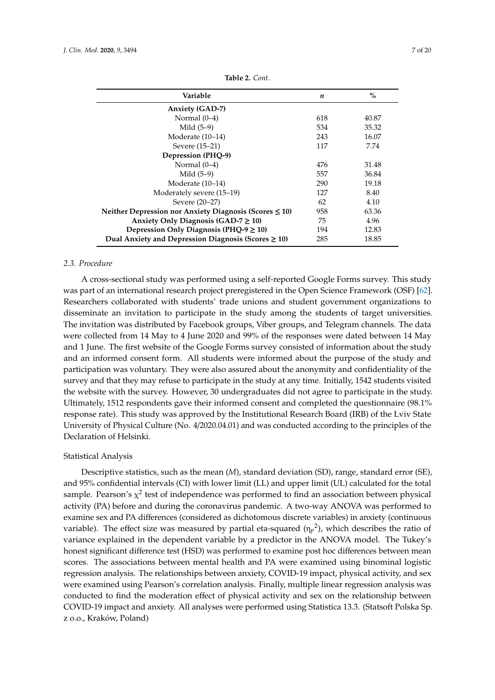<span id="page-6-0"></span>

| Variable                                                     | n   | $\%$  |
|--------------------------------------------------------------|-----|-------|
| Anxiety (GAD-7)                                              |     |       |
| Normal $(0-4)$                                               | 618 | 40.87 |
| Mild $(5-9)$                                                 | 534 | 35.32 |
| Moderate $(10-14)$                                           | 243 | 16.07 |
| Severe (15-21)                                               | 117 | 7.74  |
| Depression (PHQ-9)                                           |     |       |
| Normal $(0-4)$                                               | 476 | 31.48 |
| Mild $(5-9)$                                                 | 557 | 36.84 |
| Moderate $(10-14)$                                           | 290 | 19.18 |
| Moderately severe (15–19)                                    | 127 | 8.40  |
| Severe (20–27)                                               | 62  | 4.10  |
| Neither Depression nor Anxiety Diagnosis (Scores $\leq 10$ ) | 958 | 63.36 |
| Anxiety Only Diagnosis (GAD-7 $\geq$ 10)                     | 75  | 4.96  |
| Depression Only Diagnosis (PHQ-9 $\geq$ 10)                  | 194 | 12.83 |
| Dual Anxiety and Depression Diagnosis (Scores $\geq 10$ )    | 285 | 18.85 |

**Table 2.** *Cont*.

# *2.3. Procedure*

A cross-sectional study was performed using a self-reported Google Forms survey. This study was part of an international research project preregistered in the Open Science Framework (OSF) [\[62\]](#page-18-5). Researchers collaborated with students' trade unions and student government organizations to disseminate an invitation to participate in the study among the students of target universities. The invitation was distributed by Facebook groups, Viber groups, and Telegram channels. The data were collected from 14 May to 4 June 2020 and 99% of the responses were dated between 14 May and 1 June. The first website of the Google Forms survey consisted of information about the study and an informed consent form. All students were informed about the purpose of the study and participation was voluntary. They were also assured about the anonymity and confidentiality of the survey and that they may refuse to participate in the study at any time. Initially, 1542 students visited the website with the survey. However, 30 undergraduates did not agree to participate in the study. Ultimately, 1512 respondents gave their informed consent and completed the questionnaire (98.1% response rate). This study was approved by the Institutional Research Board (IRB) of the Lviv State University of Physical Culture (No. 4/2020.04.01) and was conducted according to the principles of the Declaration of Helsinki.

#### Statistical Analysis

Descriptive statistics, such as the mean (*M*), standard deviation (SD), range, standard error (SE), and 95% confidential intervals (CI) with lower limit (LL) and upper limit (UL) calculated for the total sample. Pearson's  $\chi^2$  test of independence was performed to find an association between physical activity (PA) before and during the coronavirus pandemic. A two-way ANOVA was performed to examine sex and PA differences (considered as dichotomous discrete variables) in anxiety (continuous variable). The effect size was measured by partial eta-squared  $(\eta_p^2)$ , which describes the ratio of variance explained in the dependent variable by a predictor in the ANOVA model. The Tukey's honest significant difference test (HSD) was performed to examine post hoc differences between mean scores. The associations between mental health and PA were examined using binominal logistic regression analysis. The relationships between anxiety, COVID-19 impact, physical activity, and sex were examined using Pearson's correlation analysis. Finally, multiple linear regression analysis was conducted to find the moderation effect of physical activity and sex on the relationship between COVID-19 impact and anxiety. All analyses were performed using Statistica 13.3. (Statsoft Polska Sp. z o.o., Kraków, Poland)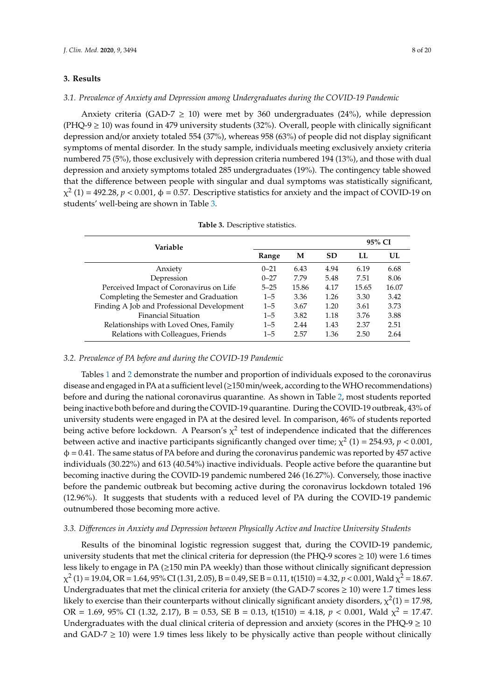# **3. Results**

#### *3.1. Prevalence of Anxiety and Depression among Undergraduates during the COVID-19 Pandemic*

Anxiety criteria (GAD-7  $\geq$  10) were met by 360 undergraduates (24%), while depression  $(PHQ-9 \ge 10)$  was found in 479 university students (32%). Overall, people with clinically significant depression and/or anxiety totaled 554 (37%), whereas 958 (63%) of people did not display significant symptoms of mental disorder. In the study sample, individuals meeting exclusively anxiety criteria numbered 75 (5%), those exclusively with depression criteria numbered 194 (13%), and those with dual depression and anxiety symptoms totaled 285 undergraduates (19%). The contingency table showed that the difference between people with singular and dual symptoms was statistically significant,  $\chi^2$  (1) = 492.28, *p* < 0.001, φ = 0.57. Descriptive statistics for anxiety and the impact of COVID-19 on students' well-being are shown in Table [3.](#page-7-0)

<span id="page-7-0"></span>

| Variable                                   |          |       |           |       | 95% CI |
|--------------------------------------------|----------|-------|-----------|-------|--------|
|                                            | Range    | М     | <b>SD</b> | LL    | UL     |
| Anxiety                                    | $0 - 21$ | 6.43  | 4.94      | 6.19  | 6.68   |
| Depression                                 | $0 - 27$ | 7.79  | 5.48      | 7.51  | 8.06   |
| Perceived Impact of Coronavirus on Life    | $5 - 25$ | 15.86 | 4.17      | 15.65 | 16.07  |
| Completing the Semester and Graduation     | $1 - 5$  | 3.36  | 1.26      | 3.30  | 3.42   |
| Finding A Job and Professional Development | $1 - 5$  | 3.67  | 1.20      | 3.61  | 3.73   |
| Financial Situation                        | $1 - 5$  | 3.82  | 1.18      | 3.76  | 3.88   |
| Relationships with Loved Ones, Family      | $1 - 5$  | 2.44  | 1.43      | 2.37  | 2.51   |
| Relations with Colleagues, Friends         | $1 - 5$  | 2.57  | 1.36      | 2.50  | 2.64   |

| <b>Table 3.</b> Descriptive statistics. |  |
|-----------------------------------------|--|
|-----------------------------------------|--|

# *3.2. Prevalence of PA before and during the COVID-19 Pandemic*

Tables [1](#page-3-0) and [2](#page-6-0) demonstrate the number and proportion of individuals exposed to the coronavirus disease and engaged in PA at a sufficient level (≥150 min/week, according to theWHO recommendations) before and during the national coronavirus quarantine. As shown in Table [2,](#page-6-0) most students reported being inactive both before and during the COVID-19 quarantine. During the COVID-19 outbreak, 43% of university students were engaged in PA at the desired level. In comparison, 46% of students reported being active before lockdown. A Pearson's  $\chi^2$  test of independence indicated that the differences between active and inactive participants significantly changed over time;  $\chi^2$  (1) = 254.93,  $p < 0.001$ , φ = 0.41. The same status of PA before and during the coronavirus pandemic was reported by 457 active individuals (30.22%) and 613 (40.54%) inactive individuals. People active before the quarantine but becoming inactive during the COVID-19 pandemic numbered 246 (16.27%). Conversely, those inactive before the pandemic outbreak but becoming active during the coronavirus lockdown totaled 196 (12.96%). It suggests that students with a reduced level of PA during the COVID-19 pandemic outnumbered those becoming more active.

## *3.3. Di*ff*erences in Anxiety and Depression between Physically Active and Inactive University Students*

Results of the binominal logistic regression suggest that, during the COVID-19 pandemic, university students that met the clinical criteria for depression (the PHQ-9 scores  $\geq$  10) were 1.6 times less likely to engage in PA (≥150 min PA weekly) than those without clinically significant depression  $\chi^2$  (1) = 19.04, OR = 1.64, 95% CI (1.31, 2.05), B = 0.49, SE B = 0.11, t(1510) = 4.32, *p* < 0.001, Wald  $\chi^2$  = 18.67. Undergraduates that met the clinical criteria for anxiety (the GAD-7 scores  $\geq 10$ ) were 1.7 times less likely to exercise than their counterparts without clinically significant anxiety disorders,  $\chi^2(1) = 17.98$ , OR = 1.69, 95% CI (1.32, 2.17), B = 0.53, SE B = 0.13, t(1510) = 4.18,  $p < 0.001$ , Wald  $\chi^2$  = 17.47. Undergraduates with the dual clinical criteria of depression and anxiety (scores in the PHQ-9  $\geq$  10 and GAD-7  $\geq$  10) were 1.9 times less likely to be physically active than people without clinically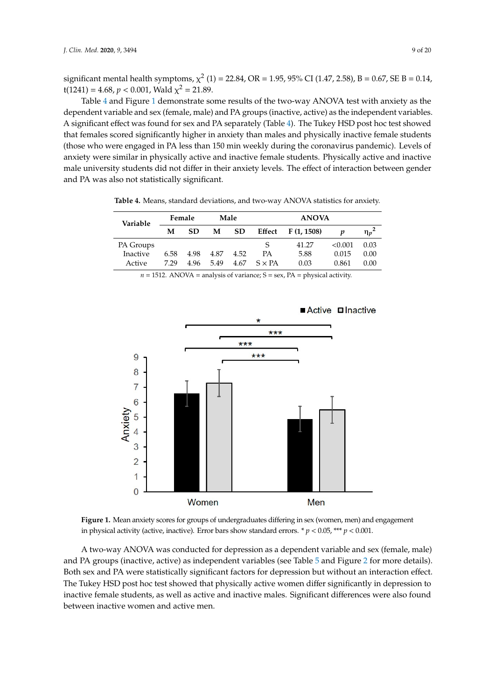significant mental health symptoms,  $\chi^2$  (1) = 22.84, OR = 1.95, 95% CI (1.47, 2.58), B = 0.67, SE B = 0.14,  $t(1241) = 4.68, p < 0.001$ , Wald  $\chi^2 = 21.89$ .

Table [4](#page-8-0) and Figure [1](#page-8-1) demonstrate some results of the two-way ANOVA test with anxiety as the dependent variable and sex (female, male) and PA groups (inactive, active) as the independent variables. A significant effect was found for sex and PA separately (Table [4\)](#page-8-0). The Tukey HSD post hoc test showed that females scored significantly higher in anxiety than males and physically inactive female students (those who were engaged in PA less than 150 min weekly during the coronavirus pandemic). Levels of anxiety were similar in physically active and inactive female students. Physically active and inactive male university students did not differ in their anxiety levels. The effect of interaction between gender and PA was also not statistically significant.

<span id="page-8-0"></span>Table 4. Means, standard deviations, and two-way ANOVA statistics for anxiety.

| Variable        |      | Female    |      | Male      |               | <b>ANOVA</b> |         |            |  |
|-----------------|------|-----------|------|-----------|---------------|--------------|---------|------------|--|
|                 | М    | <b>SD</b> | М    | <b>SD</b> | Effect        | F(1, 1508)   |         | $\eta_p^2$ |  |
| PA Groups       |      |           |      |           |               | 41.27        | < 0.001 | 0.03       |  |
| <b>Inactive</b> | 6.58 | 4.98      | 4.87 | 4.52      | PА            | 5.88         | 0.015   | 0.00       |  |
| Active          | 7 29 | 4.96      | 5.49 | 4.67      | $S \times PA$ | 0.03         | 0.861   | 0.00       |  |

<span id="page-8-1"></span> $n = 1512$ . ANOVA = analysis of variance;  $S =$  sex,  $PA =$  physical activity.

|             | $\blacksquare$ Active $\blacksquare$ Inactive |
|-------------|-----------------------------------------------|
| $\star$     |                                               |
| ***         |                                               |
| $\mathbf x$ |                                               |



**Figure 1.** Mean anxiety scores for groups of undergraduates differing in sex (women, men) and engagement in physical activity (active, inactive). Error bars show standard errors.  $* p < 0.05$ ,  $*** p < 0.001$ .

A two-way ANOVA was conducted for depression as a dependent variable and sex (female, male)  $\overline{AB}$  two-way and  $\overline{BC}$  and  $\overline{BC}$  was conducted for dependent variable  $\overline{BC}$  and  $\overline{AB}$  and  $\overline{AB}$  for more details) Both sex and PA were statistically significant factors for depression but without an interaction effect. details). Both sex and Pa were statistically significant factors for depression but with the property of dependence of  $\alpha$ . inactive female students, as well as active and inactive males. Significant differences were also found between inactive women and active men. and PA groups (inactive, active) as independent variables (see Table [5](#page-9-0) and Figure [2](#page-9-1) for more details). The Tukey HSD post hoc test showed that physically active women differ significantly in depression to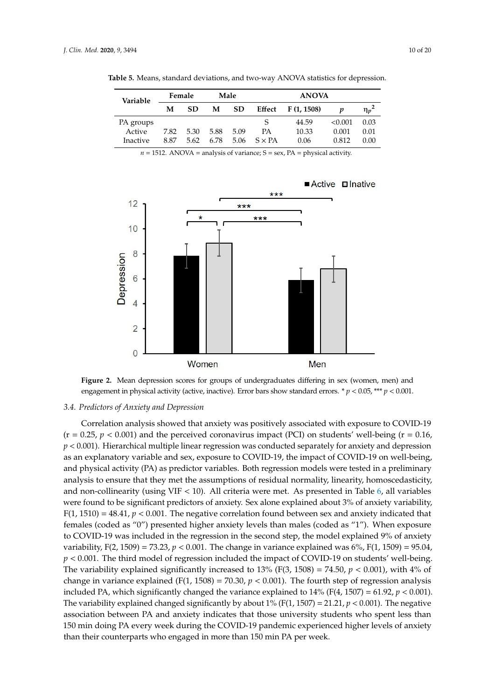<span id="page-9-0"></span>**Table 5.** Means, standard deviations, and two-way ANOVA statistics for depression.

| Variable  | Female |           |      | Male      |               | <b>ANOVA</b> |         |          |
|-----------|--------|-----------|------|-----------|---------------|--------------|---------|----------|
|           | М      | <b>SD</b> | м    | <b>SD</b> | Effect        | F(1, 1508)   |         | $\eta_p$ |
| PA groups |        |           |      |           | S             | 44.59        | < 0.001 | 0.03     |
| Active    | 7.82   | 5.30      | 5.88 | 5.09      | PА            | 10.33        | 0.001   | 0.01     |
| Inactive  | 8.87   | 5.62      | 6.78 | 5.06      | $S \times PA$ | 0.06         | 0.812   | 0.00     |

<span id="page-9-1"></span>*n* = 1512. ANOVA = analysis of variance; S = sex, PA = physical activity.



**Figure 2.** Mean depression scores for groups of undergraduates differing in sex (women, men) and **Figure** 2. engagement in physical activity (active, inactive). Error bars show standard errors.  $*$   $p$  < 0.05,  $***$   $p$  < 0.001.

# 0.001. *3.4. Predictors of Anxiety and Depression*

*3.4. Predictors of Anxiety and Depression*  Correlation analysis showed that anxiety was positively associated with exposure to COVID-19  $p < 0.001$ ). Hierarchical multiple linear regression was conducted separately for anxiety and depression as an explanatory variable and sex, exposure to COVID-19, the impact of COVID-19 on well-being, and physical activity (PA) as predictor variables. Both regression models were tested in a preliminary analysis to ensure that they met the assumptions of residual normality, linearity, homoscedasticity, and non-collinearity (using VIF < 10). All criteria were met. As presented in Table [6,](#page-10-0) all variables were found to be significant predictors of anxiety. Sex alone explained about 3% of anxiety variability,  $F(1, 1510) = 48.41$ ,  $p < 0.001$ . The negative correlation found between sex and anxiety indicated that females (coded as "0") presented higher anxiety levels than males (coded as "1"). When exposure to COVID-19 was included in the regression in the second step, the model explained 9% of anxiety variability, F(2, 1509) = 73.23,  $p < 0.001$ . The change in variance explained was 6%, F(1, 1509) = 95.04,  $p < 0.001$ . The third model of regression included the impact of COVID-19 on students' well-being. The variability explained significantly increased to 13% (F(3, 1508) = 74.50,  $p < 0.001$ ), with 4% of change in variance explained (F(1, 1508) = 70.30,  $p < 0.001$ ). The fourth step of regression analysis included PA, which significantly changed the variance explained to  $14\%$  (F(4, 1507) = 61.92, *p* < 0.001). The variability explained changed significantly by about  $1\%$  (F(1, 1507) = 21.21, *p* < 0.001). The negative association between PA and anxiety indicates that those university students who spent less than 150 min doing PA every week during the COVID-19 pandemic experienced higher levels of anxiety than their counterparts who engaged in more than 150 min PA per week.  $(r = 0.25, p < 0.001)$  and the perceived coronavirus impact (PCI) on students' well-being  $(r = 0.16, p = 0.16)$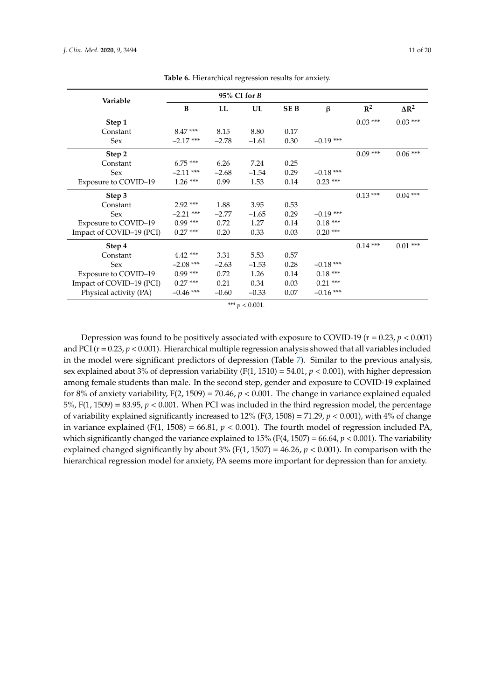<span id="page-10-0"></span>

| Variable                 |             |         | $95\%$ CI for B |            |             |                |              |  |  |
|--------------------------|-------------|---------|-----------------|------------|-------------|----------------|--------------|--|--|
|                          | B           | LL      | UL              | <b>SEB</b> | β           | $\mathbb{R}^2$ | $\Delta R^2$ |  |  |
| Step 1                   |             |         |                 |            |             | $0.03***$      | $0.03***$    |  |  |
| Constant                 | $8.47***$   | 8.15    | 8.80            | 0.17       |             |                |              |  |  |
| <b>Sex</b>               | $-2.17$ *** | $-2.78$ | $-1.61$         | 0.30       | $-0.19$ *** |                |              |  |  |
| Step 2                   |             |         |                 |            |             | $0.09***$      | $0.06***$    |  |  |
| Constant                 | $6.75***$   | 6.26    | 7.24            | 0.25       |             |                |              |  |  |
| <b>Sex</b>               | $-2.11$ *** | $-2.68$ | $-1.54$         | 0.29       | $-0.18$ *** |                |              |  |  |
| Exposure to COVID-19     | $1.26***$   | 0.99    | 1.53            | 0.14       | $0.23***$   |                |              |  |  |
| Step 3                   |             |         |                 |            |             | $0.13***$      | $0.04***$    |  |  |
| Constant                 | $2.92***$   | 1.88    | 3.95            | 0.53       |             |                |              |  |  |
| <b>Sex</b>               | $-2.21$ *** | $-2.77$ | $-1.65$         | 0.29       | $-0.19$ *** |                |              |  |  |
| Exposure to COVID-19     | $0.99***$   | 0.72    | 1.27            | 0.14       | $0.18***$   |                |              |  |  |
| Impact of COVID-19 (PCI) | $0.27***$   | 0.20    | 0.33            | 0.03       | $0.20***$   |                |              |  |  |
| Step 4                   |             |         |                 |            |             | $0.14***$      | $0.01***$    |  |  |
| Constant                 | $4.42***$   | 3.31    | 5.53            | 0.57       |             |                |              |  |  |
| Sex                      | $-2.08$ *** | $-2.63$ | $-1.53$         | 0.28       | $-0.18$ *** |                |              |  |  |
| Exposure to COVID-19     | $0.99***$   | 0.72    | 1.26            | 0.14       | $0.18***$   |                |              |  |  |
| Impact of COVID-19 (PCI) | $0.27***$   | 0.21    | 0.34            | 0.03       | $0.21***$   |                |              |  |  |
| Physical activity (PA)   | $-0.46$ *** | $-0.60$ | $-0.33$         | 0.07       | $-0.16$ *** |                |              |  |  |
| *** $p < 0.001$ .        |             |         |                 |            |             |                |              |  |  |

**Table 6.** Hierarchical regression results for anxiety.

Depression was found to be positively associated with exposure to COVID-19 ( $r = 0.23$ ,  $p < 0.001$ ) and PCI ( $r = 0.23$ ,  $p < 0.001$ ). Hierarchical multiple regression analysis showed that all variables included in the model were significant predictors of depression (Table [7\)](#page-11-0). Similar to the previous analysis, sex explained about 3% of depression variability (F(1, 1510) = 54.01, *p* < 0.001), with higher depression among female students than male. In the second step, gender and exposure to COVID-19 explained for 8% of anxiety variability, F(2, 1509) = 70.46, *p* < 0.001. The change in variance explained equaled  $5\%$ , F(1, 1509) = 83.95,  $p < 0.001$ . When PCI was included in the third regression model, the percentage of variability explained significantly increased to 12% (F(3, 1508) = 71.29, *p* < 0.001), with 4% of change in variance explained (F(1, 1508) = 66.81,  $p < 0.001$ ). The fourth model of regression included PA, which significantly changed the variance explained to 15% (F(4, 1507) = 66.64, *p* < 0.001). The variability explained changed significantly by about  $3\%$  (F(1, 1507) = 46.26,  $p < 0.001$ ). In comparison with the hierarchical regression model for anxiety, PA seems more important for depression than for anxiety.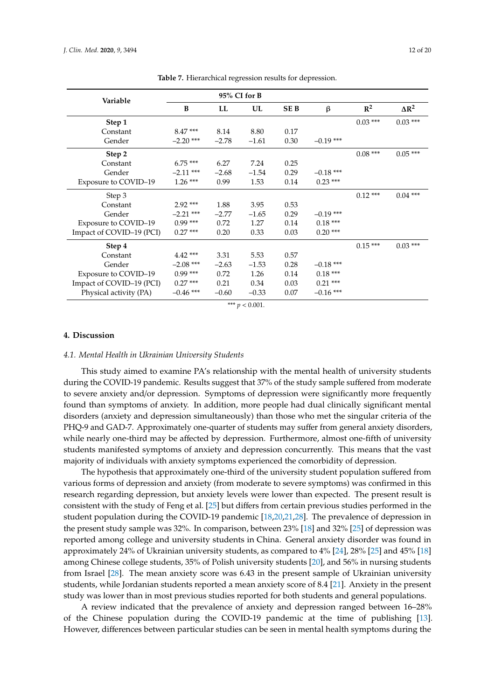<span id="page-11-0"></span>

| Variable                 |             |         | 95% CI for B |            |             |                |              |  |  |
|--------------------------|-------------|---------|--------------|------------|-------------|----------------|--------------|--|--|
|                          | B           | LL      | UL           | <b>SEB</b> | $\beta$     | $\mathbb{R}^2$ | $\Delta R^2$ |  |  |
| Step 1                   |             |         |              |            |             | $0.03***$      | $0.03***$    |  |  |
| Constant                 | $8.47***$   | 8.14    | 8.80         | 0.17       |             |                |              |  |  |
| Gender                   | $-2.20$ *** | $-2.78$ | $-1.61$      | 0.30       | $-0.19$ *** |                |              |  |  |
| Step 2                   |             |         |              |            |             | $0.08***$      | $0.05***$    |  |  |
| Constant                 | $6.75***$   | 6.27    | 7.24         | 0.25       |             |                |              |  |  |
| Gender                   | $-2.11$ *** | $-2.68$ | $-1.54$      | 0.29       | $-0.18$ *** |                |              |  |  |
| Exposure to COVID-19     | $1.26***$   | 0.99    | 1.53         | 0.14       | $0.23$ ***  |                |              |  |  |
| Step 3                   |             |         |              |            |             | $0.12***$      | $0.04***$    |  |  |
| Constant                 | $2.92***$   | 1.88    | 3.95         | 0.53       |             |                |              |  |  |
| Gender                   | $-2.21$ *** | $-2.77$ | $-1.65$      | 0.29       | $-0.19$ *** |                |              |  |  |
| Exposure to COVID-19     | $0.99***$   | 0.72    | 1.27         | 0.14       | $0.18***$   |                |              |  |  |
| Impact of COVID-19 (PCI) | $0.27***$   | 0.20    | 0.33         | 0.03       | $0.20***$   |                |              |  |  |
| Step 4                   |             |         |              |            |             | $0.15***$      | $0.03***$    |  |  |
| Constant                 | $4.42***$   | 3.31    | 5.53         | 0.57       |             |                |              |  |  |
| Gender                   | $-2.08$ *** | $-2.63$ | $-1.53$      | 0.28       | $-0.18$ *** |                |              |  |  |
| Exposure to COVID-19     | $0.99***$   | 0.72    | 1.26         | 0.14       | $0.18***$   |                |              |  |  |
| Impact of COVID-19 (PCI) | $0.27***$   | 0.21    | 0.34         | 0.03       | $0.21***$   |                |              |  |  |
| Physical activity (PA)   | $-0.46$ *** | $-0.60$ | $-0.33$      | 0.07       | $-0.16$ *** |                |              |  |  |
| *** $p < 0.001$ .        |             |         |              |            |             |                |              |  |  |

**Table 7.** Hierarchical regression results for depression.

#### **4. Discussion**

# *4.1. Mental Health in Ukrainian University Students*

This study aimed to examine PA's relationship with the mental health of university students during the COVID-19 pandemic. Results suggest that 37% of the study sample suffered from moderate to severe anxiety and/or depression. Symptoms of depression were significantly more frequently found than symptoms of anxiety. In addition, more people had dual clinically significant mental disorders (anxiety and depression simultaneously) than those who met the singular criteria of the PHQ-9 and GAD-7. Approximately one-quarter of students may suffer from general anxiety disorders, while nearly one-third may be affected by depression. Furthermore, almost one-fifth of university students manifested symptoms of anxiety and depression concurrently. This means that the vast majority of individuals with anxiety symptoms experienced the comorbidity of depression.

The hypothesis that approximately one-third of the university student population suffered from various forms of depression and anxiety (from moderate to severe symptoms) was confirmed in this research regarding depression, but anxiety levels were lower than expected. The present result is consistent with the study of Feng et al. [\[25\]](#page-16-10) but differs from certain previous studies performed in the student population during the COVID-19 pandemic [\[18](#page-16-0)[,20,](#page-16-5)[21](#page-16-6)[,28\]](#page-16-9). The prevalence of depression in the present study sample was 32%. In comparison, between 23% [\[18\]](#page-16-0) and 32% [\[25\]](#page-16-10) of depression was reported among college and university students in China. General anxiety disorder was found in approximately 24% of Ukrainian university students, as compared to 4% [\[24\]](#page-16-7), 28% [\[25\]](#page-16-10) and 45% [\[18\]](#page-16-0) among Chinese college students, 35% of Polish university students [\[20\]](#page-16-5), and 56% in nursing students from Israel [\[28\]](#page-16-9). The mean anxiety score was 6.43 in the present sample of Ukrainian university students, while Jordanian students reported a mean anxiety score of 8.4 [\[21\]](#page-16-6). Anxiety in the present study was lower than in most previous studies reported for both students and general populations.

A review indicated that the prevalence of anxiety and depression ranged between 16–28% of the Chinese population during the COVID-19 pandemic at the time of publishing [\[13\]](#page-15-3). However, differences between particular studies can be seen in mental health symptoms during the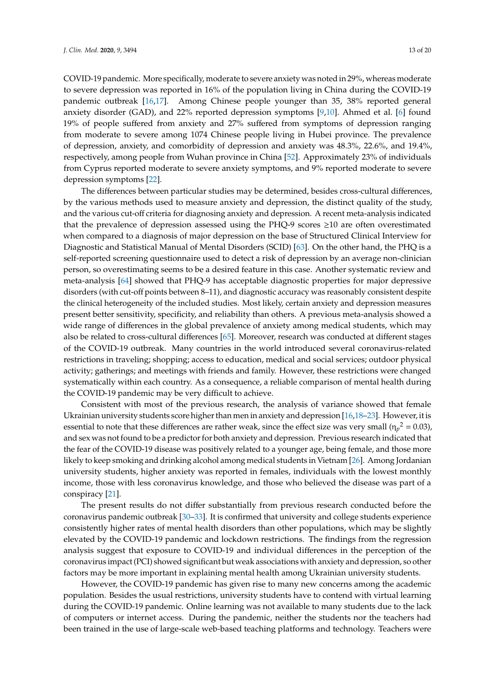COVID-19 pandemic. More specifically, moderate to severe anxiety was noted in 29%, whereas moderate to severe depression was reported in 16% of the population living in China during the COVID-19 pandemic outbreak [\[16,](#page-16-1)[17\]](#page-16-15). Among Chinese people younger than 35, 38% reported general anxiety disorder (GAD), and 22% reported depression symptoms [\[9](#page-15-5)[,10\]](#page-15-6). Ahmed et al. [\[6\]](#page-15-4) found 19% of people suffered from anxiety and 27% suffered from symptoms of depression ranging from moderate to severe among 1074 Chinese people living in Hubei province. The prevalence of depression, anxiety, and comorbidity of depression and anxiety was 48.3%, 22.6%, and 19.4%, respectively, among people from Wuhan province in China [\[52\]](#page-17-11). Approximately 23% of individuals from Cyprus reported moderate to severe anxiety symptoms, and 9% reported moderate to severe depression symptoms [\[22\]](#page-16-4).

The differences between particular studies may be determined, besides cross-cultural differences, by the various methods used to measure anxiety and depression, the distinct quality of the study, and the various cut-off criteria for diagnosing anxiety and depression. A recent meta-analysis indicated that the prevalence of depression assessed using the PHQ-9 scores  $\geq$ 10 are often overestimated when compared to a diagnosis of major depression on the base of Structured Clinical Interview for Diagnostic and Statistical Manual of Mental Disorders (SCID) [\[63\]](#page-18-6). On the other hand, the PHQ is a self-reported screening questionnaire used to detect a risk of depression by an average non-clinician person, so overestimating seems to be a desired feature in this case. Another systematic review and meta-analysis [\[64\]](#page-18-7) showed that PHQ-9 has acceptable diagnostic properties for major depressive disorders (with cut-off points between 8–11), and diagnostic accuracy was reasonably consistent despite the clinical heterogeneity of the included studies. Most likely, certain anxiety and depression measures present better sensitivity, specificity, and reliability than others. A previous meta-analysis showed a wide range of differences in the global prevalence of anxiety among medical students, which may also be related to cross-cultural differences [\[65\]](#page-18-8). Moreover, research was conducted at different stages of the COVID-19 outbreak. Many countries in the world introduced several coronavirus-related restrictions in traveling; shopping; access to education, medical and social services; outdoor physical activity; gatherings; and meetings with friends and family. However, these restrictions were changed systematically within each country. As a consequence, a reliable comparison of mental health during the COVID-19 pandemic may be very difficult to achieve.

Consistent with most of the previous research, the analysis of variance showed that female Ukrainian university students score higher than men in anxiety and depression [\[16](#page-16-1)[,18–](#page-16-0)[23\]](#page-16-3). However, it is essential to note that these differences are rather weak, since the effect size was very small ( $\eta_p^2$  = 0.03), and sex was not found to be a predictor for both anxiety and depression. Previous research indicated that the fear of the COVID-19 disease was positively related to a younger age, being female, and those more likely to keep smoking and drinking alcohol among medical students in Vietnam [\[26\]](#page-16-16). Among Jordanian university students, higher anxiety was reported in females, individuals with the lowest monthly income, those with less coronavirus knowledge, and those who believed the disease was part of a conspiracy [\[21\]](#page-16-6).

The present results do not differ substantially from previous research conducted before the coronavirus pandemic outbreak [\[30–](#page-16-11)[33\]](#page-16-13). It is confirmed that university and college students experience consistently higher rates of mental health disorders than other populations, which may be slightly elevated by the COVID-19 pandemic and lockdown restrictions. The findings from the regression analysis suggest that exposure to COVID-19 and individual differences in the perception of the coronavirus impact (PCI) showed significant but weak associations with anxiety and depression, so other factors may be more important in explaining mental health among Ukrainian university students.

However, the COVID-19 pandemic has given rise to many new concerns among the academic population. Besides the usual restrictions, university students have to contend with virtual learning during the COVID-19 pandemic. Online learning was not available to many students due to the lack of computers or internet access. During the pandemic, neither the students nor the teachers had been trained in the use of large-scale web-based teaching platforms and technology. Teachers were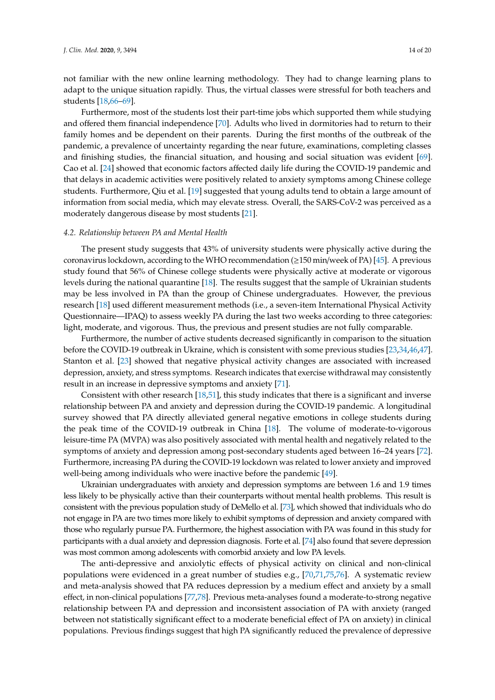not familiar with the new online learning methodology. They had to change learning plans to adapt to the unique situation rapidly. Thus, the virtual classes were stressful for both teachers and students [\[18](#page-16-0)[,66](#page-18-9)[–69\]](#page-18-10).

Furthermore, most of the students lost their part-time jobs which supported them while studying and offered them financial independence [\[70\]](#page-18-11). Adults who lived in dormitories had to return to their family homes and be dependent on their parents. During the first months of the outbreak of the pandemic, a prevalence of uncertainty regarding the near future, examinations, completing classes and finishing studies, the financial situation, and housing and social situation was evident [\[69\]](#page-18-10). Cao et al. [\[24\]](#page-16-7) showed that economic factors affected daily life during the COVID-19 pandemic and that delays in academic activities were positively related to anxiety symptoms among Chinese college students. Furthermore, Qiu et al. [\[19\]](#page-16-2) suggested that young adults tend to obtain a large amount of information from social media, which may elevate stress. Overall, the SARS-CoV-2 was perceived as a moderately dangerous disease by most students [\[21\]](#page-16-6).

# *4.2. Relationship between PA and Mental Health*

The present study suggests that 43% of university students were physically active during the coronavirus lockdown, according to the WHO recommendation ( $\geq$ 150 min/week of PA) [\[45\]](#page-17-4). A previous study found that 56% of Chinese college students were physically active at moderate or vigorous levels during the national quarantine [\[18\]](#page-16-0). The results suggest that the sample of Ukrainian students may be less involved in PA than the group of Chinese undergraduates. However, the previous research [\[18\]](#page-16-0) used different measurement methods (i.e., a seven-item International Physical Activity Questionnaire—IPAQ) to assess weekly PA during the last two weeks according to three categories: light, moderate, and vigorous. Thus, the previous and present studies are not fully comparable.

Furthermore, the number of active students decreased significantly in comparison to the situation before the COVID-19 outbreak in Ukraine, which is consistent with some previous studies [\[23,](#page-16-3)[34](#page-16-14)[,46](#page-17-5)[,47\]](#page-17-6). Stanton et al. [\[23\]](#page-16-3) showed that negative physical activity changes are associated with increased depression, anxiety, and stress symptoms. Research indicates that exercise withdrawal may consistently result in an increase in depressive symptoms and anxiety [\[71\]](#page-18-12).

Consistent with other research [\[18](#page-16-0)[,51\]](#page-17-10), this study indicates that there is a significant and inverse relationship between PA and anxiety and depression during the COVID-19 pandemic. A longitudinal survey showed that PA directly alleviated general negative emotions in college students during the peak time of the COVID-19 outbreak in China [\[18\]](#page-16-0). The volume of moderate-to-vigorous leisure-time PA (MVPA) was also positively associated with mental health and negatively related to the symptoms of anxiety and depression among post-secondary students aged between 16–24 years [\[72\]](#page-18-13). Furthermore, increasing PA during the COVID-19 lockdown was related to lower anxiety and improved well-being among individuals who were inactive before the pandemic [\[49\]](#page-17-8).

Ukrainian undergraduates with anxiety and depression symptoms are between 1.6 and 1.9 times less likely to be physically active than their counterparts without mental health problems. This result is consistent with the previous population study of DeMello et al. [\[73\]](#page-18-14), which showed that individuals who do not engage in PA are two times more likely to exhibit symptoms of depression and anxiety compared with those who regularly pursue PA. Furthermore, the highest association with PA was found in this study for participants with a dual anxiety and depression diagnosis. Forte et al. [\[74\]](#page-18-15) also found that severe depression was most common among adolescents with comorbid anxiety and low PA levels.

The anti-depressive and anxiolytic effects of physical activity on clinical and non-clinical populations were evidenced in a great number of studies e.g., [\[70](#page-18-11)[,71](#page-18-12)[,75](#page-18-16)[,76\]](#page-18-17). A systematic review and meta-analysis showed that PA reduces depression by a medium effect and anxiety by a small effect, in non-clinical populations [\[77,](#page-18-18)[78\]](#page-19-0). Previous meta-analyses found a moderate-to-strong negative relationship between PA and depression and inconsistent association of PA with anxiety (ranged between not statistically significant effect to a moderate beneficial effect of PA on anxiety) in clinical populations. Previous findings suggest that high PA significantly reduced the prevalence of depressive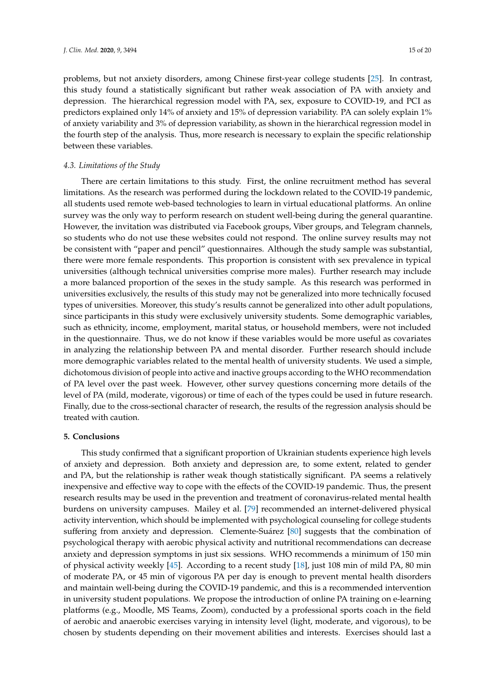problems, but not anxiety disorders, among Chinese first-year college students [\[25\]](#page-16-10). In contrast, this study found a statistically significant but rather weak association of PA with anxiety and depression. The hierarchical regression model with PA, sex, exposure to COVID-19, and PCI as predictors explained only 14% of anxiety and 15% of depression variability. PA can solely explain 1% of anxiety variability and 3% of depression variability, as shown in the hierarchical regression model in the fourth step of the analysis. Thus, more research is necessary to explain the specific relationship between these variables.

# *4.3. Limitations of the Study*

There are certain limitations to this study. First, the online recruitment method has several limitations. As the research was performed during the lockdown related to the COVID-19 pandemic, all students used remote web-based technologies to learn in virtual educational platforms. An online survey was the only way to perform research on student well-being during the general quarantine. However, the invitation was distributed via Facebook groups, Viber groups, and Telegram channels, so students who do not use these websites could not respond. The online survey results may not be consistent with "paper and pencil" questionnaires. Although the study sample was substantial, there were more female respondents. This proportion is consistent with sex prevalence in typical universities (although technical universities comprise more males). Further research may include a more balanced proportion of the sexes in the study sample. As this research was performed in universities exclusively, the results of this study may not be generalized into more technically focused types of universities. Moreover, this study's results cannot be generalized into other adult populations, since participants in this study were exclusively university students. Some demographic variables, such as ethnicity, income, employment, marital status, or household members, were not included in the questionnaire. Thus, we do not know if these variables would be more useful as covariates in analyzing the relationship between PA and mental disorder. Further research should include more demographic variables related to the mental health of university students. We used a simple, dichotomous division of people into active and inactive groups according to the WHO recommendation of PA level over the past week. However, other survey questions concerning more details of the level of PA (mild, moderate, vigorous) or time of each of the types could be used in future research. Finally, due to the cross-sectional character of research, the results of the regression analysis should be treated with caution.

# **5. Conclusions**

This study confirmed that a significant proportion of Ukrainian students experience high levels of anxiety and depression. Both anxiety and depression are, to some extent, related to gender and PA, but the relationship is rather weak though statistically significant. PA seems a relatively inexpensive and effective way to cope with the effects of the COVID-19 pandemic. Thus, the present research results may be used in the prevention and treatment of coronavirus-related mental health burdens on university campuses. Mailey et al. [\[79\]](#page-19-1) recommended an internet-delivered physical activity intervention, which should be implemented with psychological counseling for college students suffering from anxiety and depression. Clemente-Suárez [\[80\]](#page-19-2) suggests that the combination of psychological therapy with aerobic physical activity and nutritional recommendations can decrease anxiety and depression symptoms in just six sessions. WHO recommends a minimum of 150 min of physical activity weekly [\[45\]](#page-17-4). According to a recent study [\[18\]](#page-16-0), just 108 min of mild PA, 80 min of moderate PA, or 45 min of vigorous PA per day is enough to prevent mental health disorders and maintain well-being during the COVID-19 pandemic, and this is a recommended intervention in university student populations. We propose the introduction of online PA training on e-learning platforms (e.g., Moodle, MS Teams, Zoom), conducted by a professional sports coach in the field of aerobic and anaerobic exercises varying in intensity level (light, moderate, and vigorous), to be chosen by students depending on their movement abilities and interests. Exercises should last a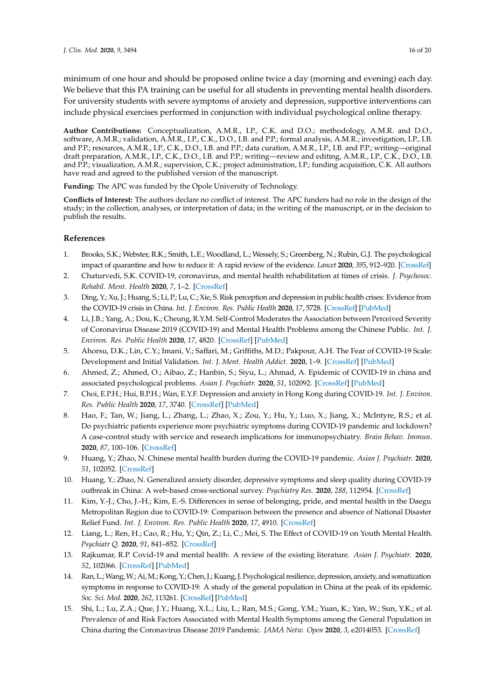minimum of one hour and should be proposed online twice a day (morning and evening) each day. We believe that this PA training can be useful for all students in preventing mental health disorders. For university students with severe symptoms of anxiety and depression, supportive interventions can include physical exercises performed in conjunction with individual psychological online therapy.

**Author Contributions:** Conceptualization, A.M.R., I.P., C.K. and D.O.; methodology, A.M.R. and D.O., software, A.M.R.; validation, A.M.R., I.P., C.K., D.O., I.B. and P.P.; formal analysis, A.M.R.; investigation, I.P., I.B. and P.P.; resources, A.M.R., I.P., C.K., D.O., I.B. and P.P.; data curation, A.M.R., I.P., I.B. and P.P.; writing—original draft preparation, A.M.R., I.P., C.K., D.O., I.B. and P.P.; writing—review and editing, A.M.R., I.P., C.K., D.O., I.B. and P.P.; visualization, A.M.R.; supervision, C.K.; project administration, I.P.; funding acquisition, C.K. All authors have read and agreed to the published version of the manuscript.

**Funding:** The APC was funded by the Opole University of Technology.

**Conflicts of Interest:** The authors declare no conflict of interest. The APC funders had no role in the design of the study; in the collection, analyses, or interpretation of data; in the writing of the manuscript, or in the decision to publish the results.

# **References**

- <span id="page-15-0"></span>1. Brooks, S.K.; Webster, R.K.; Smith, L.E.; Woodland, L.; Wessely, S.; Greenberg, N.; Rubin, G.J. The psychological impact of quarantine and how to reduce it: A rapid review of the evidence. *Lancet* **2020**, *395*, 912–920. [\[CrossRef\]](http://dx.doi.org/10.1016/S0140-6736(20)30460-8)
- 2. Chaturvedi, S.K. COVID-19, coronavirus, and mental health rehabilitation at times of crisis. *J. Psychosoc. Rehabil. Ment. Health* **2020**, *7*, 1–2. [\[CrossRef\]](http://dx.doi.org/10.1007/s40737-020-00162-z)
- 3. Ding, Y.; Xu, J.; Huang, S.; Li, P.; Lu, C.; Xie, S. Risk perception and depression in public health crises: Evidence from the COVID-19 crisis in China. *Int. J. Environ. Res. Public Health* **2020**, *17*, 5728. [\[CrossRef\]](http://dx.doi.org/10.3390/ijerph17165728) [\[PubMed\]](http://www.ncbi.nlm.nih.gov/pubmed/32784792)
- <span id="page-15-1"></span>4. Li, J.B.; Yang, A.; Dou, K.; Cheung, R.Y.M. Self-Control Moderates the Association between Perceived Severity of Coronavirus Disease 2019 (COVID-19) and Mental Health Problems among the Chinese Public. *Int. J. Environ. Res. Public Health* **2020**, *17*, 4820. [\[CrossRef\]](http://dx.doi.org/10.3390/ijerph17134820) [\[PubMed\]](http://www.ncbi.nlm.nih.gov/pubmed/32635495)
- <span id="page-15-2"></span>5. Ahorsu, D.K.; Lin, C.Y.; Imani, V.; Saffari, M.; Griffiths, M.D.; Pakpour, A.H. The Fear of COVID-19 Scale: Development and Initial Validation. *Int. J. Ment. Health Addict.* **2020**, 1–9. [\[CrossRef\]](http://dx.doi.org/10.1007/s11469-020-00270-8) [\[PubMed\]](http://www.ncbi.nlm.nih.gov/pubmed/32226353)
- <span id="page-15-4"></span>6. Ahmed, Z.; Ahmed, O.; Aibao, Z.; Hanbin, S.; Siyu, L.; Ahmad, A. Epidemic of COVID-19 in china and associated psychological problems. *Asian J. Psychiatr.* **2020**, *51*, 102092. [\[CrossRef\]](http://dx.doi.org/10.1016/j.ajp.2020.102092) [\[PubMed\]](http://www.ncbi.nlm.nih.gov/pubmed/32315963)
- 7. Choi, E.P.H.; Hui, B.P.H.; Wan, E.Y.F. Depression and anxiety in Hong Kong during COVID-19. *Int. J. Environ. Res. Public Health* **2020**, *17*, 3740. [\[CrossRef\]](http://dx.doi.org/10.3390/ijerph17103740) [\[PubMed\]](http://www.ncbi.nlm.nih.gov/pubmed/32466251)
- 8. Hao, F.; Tan, W.; Jiang, L.; Zhang, L.; Zhao, X.; Zou, Y.; Hu, Y.; Luo, X.; Jiang, X.; McIntyre, R.S.; et al. Do psychiatric patients experience more psychiatric symptoms during COVID-19 pandemic and lockdown? A case-control study with service and research implications for immunopsychiatry. *Brain Behav. Immun.* **2020**, *87*, 100–106. [\[CrossRef\]](http://dx.doi.org/10.1016/j.bbi.2020.04.069)
- <span id="page-15-5"></span>9. Huang, Y.; Zhao, N. Chinese mental health burden during the COVID-19 pandemic. *Asian J. Psychiatr.* **2020**, *51*, 102052. [\[CrossRef\]](http://dx.doi.org/10.1016/j.ajp.2020.102052)
- <span id="page-15-6"></span>10. Huang, Y.; Zhao, N. Generalized anxiety disorder, depressive symptoms and sleep quality during COVID-19 outbreak in China: A web-based cross-sectional survey. *Psychiatry Res.* **2020**, *288*, 112954. [\[CrossRef\]](http://dx.doi.org/10.1016/j.psychres.2020.112954)
- 11. Kim, Y.-J.; Cho, J.-H.; Kim, E.-S. Differences in sense of belonging, pride, and mental health in the Daegu Metropolitan Region due to COVID-19: Comparison between the presence and absence of National Disaster Relief Fund. *Int. J. Environ. Res. Public Health* **2020**, *17*, 4910. [\[CrossRef\]](http://dx.doi.org/10.3390/ijerph17134910)
- 12. Liang, L.; Ren, H.; Cao, R.; Hu, Y.; Qin, Z.; Li, C.; Mei, S. The Effect of COVID-19 on Youth Mental Health. *Psychiatr Q.* **2020**, *91*, 841–852. [\[CrossRef\]](http://dx.doi.org/10.1007/s11126-020-09744-3)
- <span id="page-15-3"></span>13. Rajkumar, R.P. Covid-19 and mental health: A review of the existing literature. *Asian J. Psychiatr.* **2020**, *52*, 102066. [\[CrossRef\]](http://dx.doi.org/10.1016/j.ajp.2020.102066) [\[PubMed\]](http://www.ncbi.nlm.nih.gov/pubmed/32302935)
- 14. Ran, L.; Wang,W.; Ai,M.; Kong, Y.; Chen, J.; Kuang, J. Psychological resilience, depression, anxiety, and somatization symptoms in response to COVID-19: A study of the general population in China at the peak of its epidemic. *Soc. Sci. Med.* **2020**, *262*, 113261. [\[CrossRef\]](http://dx.doi.org/10.1016/j.socscimed.2020.113261) [\[PubMed\]](http://www.ncbi.nlm.nih.gov/pubmed/32758794)
- 15. Shi, L.; Lu, Z.A.; Que, J.Y.; Huang, X.L.; Liu, L.; Ran, M.S.; Gong, Y.M.; Yuan, K.; Yan, W.; Sun, Y.K.; et al. Prevalence of and Risk Factors Associated with Mental Health Symptoms among the General Population in China during the Coronavirus Disease 2019 Pandemic. *JAMA Netw. Open* **2020**, *3*, e2014053. [\[CrossRef\]](http://dx.doi.org/10.1001/jamanetworkopen.2020.14053)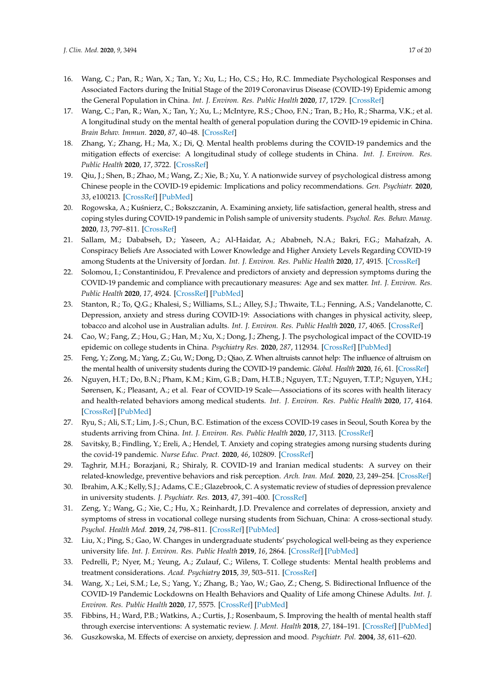- <span id="page-16-1"></span>16. Wang, C.; Pan, R.; Wan, X.; Tan, Y.; Xu, L.; Ho, C.S.; Ho, R.C. Immediate Psychological Responses and Associated Factors during the Initial Stage of the 2019 Coronavirus Disease (COVID-19) Epidemic among the General Population in China. *Int. J. Environ. Res. Public Health* **2020**, *17*, 1729. [\[CrossRef\]](http://dx.doi.org/10.3390/ijerph17051729)
- <span id="page-16-15"></span>17. Wang, C.; Pan, R.; Wan, X.; Tan, Y.; Xu, L.; McIntyre, R.S.; Choo, F.N.; Tran, B.; Ho, R.; Sharma, V.K.; et al. A longitudinal study on the mental health of general population during the COVID-19 epidemic in China. *Brain Behav. Immun.* **2020**, *87*, 40–48. [\[CrossRef\]](http://dx.doi.org/10.1016/j.bbi.2020.04.028)
- <span id="page-16-0"></span>18. Zhang, Y.; Zhang, H.; Ma, X.; Di, Q. Mental health problems during the COVID-19 pandemics and the mitigation effects of exercise: A longitudinal study of college students in China. *Int. J. Environ. Res. Public Health* **2020**, *17*, 3722. [\[CrossRef\]](http://dx.doi.org/10.3390/ijerph17103722)
- <span id="page-16-2"></span>19. Qiu, J.; Shen, B.; Zhao, M.; Wang, Z.; Xie, B.; Xu, Y. A nationwide survey of psychological distress among Chinese people in the COVID-19 epidemic: Implications and policy recommendations. *Gen. Psychiatr.* **2020**, *33*, e100213. [\[CrossRef\]](http://dx.doi.org/10.1136/gpsych-2020-100213) [\[PubMed\]](http://www.ncbi.nlm.nih.gov/pubmed/32215365)
- <span id="page-16-5"></span>20. Rogowska, A.; Kuśnierz, C.; Bokszczanin, A. Examining anxiety, life satisfaction, general health, stress and coping styles during COVID-19 pandemic in Polish sample of university students. *Psychol. Res. Behav. Manag.* **2020**, *13*, 797–811. [\[CrossRef\]](http://dx.doi.org/10.2147/PRBM.S266511)
- <span id="page-16-6"></span>21. Sallam, M.; Dababseh, D.; Yaseen, A.; Al-Haidar, A.; Ababneh, N.A.; Bakri, F.G.; Mahafzah, A. Conspiracy Beliefs Are Associated with Lower Knowledge and Higher Anxiety Levels Regarding COVID-19 among Students at the University of Jordan. *Int. J. Environ. Res. Public Health* **2020**, *17*, 4915. [\[CrossRef\]](http://dx.doi.org/10.3390/ijerph17144915)
- <span id="page-16-4"></span>22. Solomou, I.; Constantinidou, F. Prevalence and predictors of anxiety and depression symptoms during the COVID-19 pandemic and compliance with precautionary measures: Age and sex matter. *Int. J. Environ. Res. Public Health* **2020**, *17*, 4924. [\[CrossRef\]](http://dx.doi.org/10.3390/ijerph17144924) [\[PubMed\]](http://www.ncbi.nlm.nih.gov/pubmed/32650522)
- <span id="page-16-3"></span>23. Stanton, R.; To, Q.G.; Khalesi, S.; Williams, S.L.; Alley, S.J.; Thwaite, T.L.; Fenning, A.S.; Vandelanotte, C. Depression, anxiety and stress during COVID-19: Associations with changes in physical activity, sleep, tobacco and alcohol use in Australian adults. *Int. J. Environ. Res. Public Health* **2020**, *17*, 4065. [\[CrossRef\]](http://dx.doi.org/10.3390/ijerph17114065)
- <span id="page-16-7"></span>24. Cao, W.; Fang, Z.; Hou, G.; Han, M.; Xu, X.; Dong, J.; Zheng, J. The psychological impact of the COVID-19 epidemic on college students in China. *Psychiatry Res.* **2020**, *287*, 112934. [\[CrossRef\]](http://dx.doi.org/10.1016/j.psychres.2020.112934) [\[PubMed\]](http://www.ncbi.nlm.nih.gov/pubmed/32229390)
- <span id="page-16-10"></span>25. Feng, Y.; Zong, M.; Yang, Z.; Gu, W.; Dong, D.; Qiao, Z. When altruists cannot help: The influence of altruism on the mental health of university students during the COVID-19 pandemic. *Global. Health* **2020**, *16*, 61. [\[CrossRef\]](http://dx.doi.org/10.1186/s12992-020-00587-y)
- <span id="page-16-16"></span>26. Nguyen, H.T.; Do, B.N.; Pham, K.M.; Kim, G.B.; Dam, H.T.B.; Nguyen, T.T.; Nguyen, T.T.P.; Nguyen, Y.H.; Sørensen, K.; Pleasant, A.; et al. Fear of COVID-19 Scale—Associations of its scores with health literacy and health-related behaviors among medical students. *Int. J. Environ. Res. Public Health* **2020**, *17*, 4164. [\[CrossRef\]](http://dx.doi.org/10.3390/ijerph17114164) [\[PubMed\]](http://www.ncbi.nlm.nih.gov/pubmed/32545240)
- 27. Ryu, S.; Ali, S.T.; Lim, J.-S.; Chun, B.C. Estimation of the excess COVID-19 cases in Seoul, South Korea by the students arriving from China. *Int. J. Environ. Res. Public Health* **2020**, *17*, 3113. [\[CrossRef\]](http://dx.doi.org/10.3390/ijerph17093113)
- <span id="page-16-9"></span>28. Savitsky, B.; Findling, Y.; Ereli, A.; Hendel, T. Anxiety and coping strategies among nursing students during the covid-19 pandemic. *Nurse Educ. Pract.* **2020**, *46*, 102809. [\[CrossRef\]](http://dx.doi.org/10.1016/j.nepr.2020.102809)
- <span id="page-16-8"></span>29. Taghrir, M.H.; Borazjani, R.; Shiraly, R. COVID-19 and Iranian medical students: A survey on their related-knowledge, preventive behaviors and risk perception. *Arch. Iran. Med.* **2020**, *23*, 249–254. [\[CrossRef\]](http://dx.doi.org/10.34172/aim.2020.06)
- <span id="page-16-11"></span>30. Ibrahim, A.K.; Kelly, S.J.; Adams, C.E.; Glazebrook, C. A systematic review of studies of depression prevalence in university students. *J. Psychiatr. Res.* **2013**, *47*, 391–400. [\[CrossRef\]](http://dx.doi.org/10.1016/j.jpsychires.2012.11.015)
- <span id="page-16-12"></span>31. Zeng, Y.; Wang, G.; Xie, C.; Hu, X.; Reinhardt, J.D. Prevalence and correlates of depression, anxiety and symptoms of stress in vocational college nursing students from Sichuan, China: A cross-sectional study. *Psychol. Health Med.* **2019**, *24*, 798–811. [\[CrossRef\]](http://dx.doi.org/10.1080/13548506.2019.1574358) [\[PubMed\]](http://www.ncbi.nlm.nih.gov/pubmed/30714819)
- 32. Liu, X.; Ping, S.; Gao, W. Changes in undergraduate students' psychological well-being as they experience university life. *Int. J. Environ. Res. Public Health* **2019**, *16*, 2864. [\[CrossRef\]](http://dx.doi.org/10.3390/ijerph16162864) [\[PubMed\]](http://www.ncbi.nlm.nih.gov/pubmed/31405114)
- <span id="page-16-13"></span>33. Pedrelli, P.; Nyer, M.; Yeung, A.; Zulauf, C.; Wilens, T. College students: Mental health problems and treatment considerations. *Acad. Psychiatry* **2015**, *39*, 503–511. [\[CrossRef\]](http://dx.doi.org/10.1007/s40596-014-0205-9)
- <span id="page-16-14"></span>34. Wang, X.; Lei, S.M.; Le, S.; Yang, Y.; Zhang, B.; Yao, W.; Gao, Z.; Cheng, S. Bidirectional Influence of the COVID-19 Pandemic Lockdowns on Health Behaviors and Quality of Life among Chinese Adults. *Int. J. Environ. Res. Public Health* **2020**, *17*, 5575. [\[CrossRef\]](http://dx.doi.org/10.3390/ijerph17155575) [\[PubMed\]](http://www.ncbi.nlm.nih.gov/pubmed/32748825)
- 35. Fibbins, H.; Ward, P.B.; Watkins, A.; Curtis, J.; Rosenbaum, S. Improving the health of mental health staff through exercise interventions: A systematic review. *J. Ment. Health* **2018**, *27*, 184–191. [\[CrossRef\]](http://dx.doi.org/10.1080/09638237.2018.1437614) [\[PubMed\]](http://www.ncbi.nlm.nih.gov/pubmed/29447044)
- 36. Guszkowska, M. Effects of exercise on anxiety, depression and mood. *Psychiatr. Pol.* **2004**, *38*, 611–620.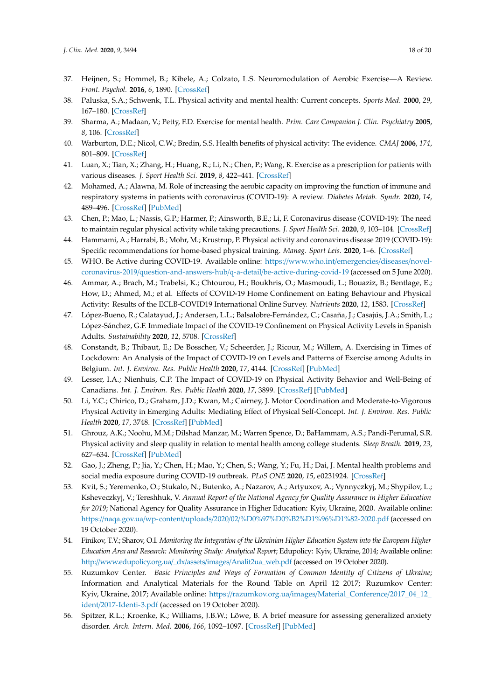- 37. Heijnen, S.; Hommel, B.; Kibele, A.; Colzato, L.S. Neuromodulation of Aerobic Exercise—A Review. *Front. Psychol.* **2016**, *6*, 1890. [\[CrossRef\]](http://dx.doi.org/10.3389/fpsyg.2015.01890)
- 38. Paluska, S.A.; Schwenk, T.L. Physical activity and mental health: Current concepts. *Sports Med.* **2000**, *29*, 167–180. [\[CrossRef\]](http://dx.doi.org/10.2165/00007256-200029030-00003)
- 39. Sharma, A.; Madaan, V.; Petty, F.D. Exercise for mental health. *Prim. Care Companion J. Clin. Psychiatry* **2005**, *8*, 106. [\[CrossRef\]](http://dx.doi.org/10.4088/PCC.v08n0208a)
- <span id="page-17-0"></span>40. Warburton, D.E.; Nicol, C.W.; Bredin, S.S. Health benefits of physical activity: The evidence. *CMAJ* **2006**, *174*, 801–809. [\[CrossRef\]](http://dx.doi.org/10.1503/cmaj.051351)
- <span id="page-17-1"></span>41. Luan, X.; Tian, X.; Zhang, H.; Huang, R.; Li, N.; Chen, P.; Wang, R. Exercise as a prescription for patients with various diseases. *J. Sport Health Sci.* **2019**, *8*, 422–441. [\[CrossRef\]](http://dx.doi.org/10.1016/j.jshs.2019.04.002)
- <span id="page-17-2"></span>42. Mohamed, A.; Alawna, M. Role of increasing the aerobic capacity on improving the function of immune and respiratory systems in patients with coronavirus (COVID-19): A review. *Diabetes Metab. Syndr.* **2020**, *14*, 489–496. [\[CrossRef\]](http://dx.doi.org/10.1016/j.dsx.2020.04.038) [\[PubMed\]](http://www.ncbi.nlm.nih.gov/pubmed/32388326)
- <span id="page-17-3"></span>43. Chen, P.; Mao, L.; Nassis, G.P.; Harmer, P.; Ainsworth, B.E.; Li, F. Coronavirus disease (COVID-19): The need to maintain regular physical activity while taking precautions. *J. Sport Health Sci.* **2020**, *9*, 103–104. [\[CrossRef\]](http://dx.doi.org/10.1016/j.jshs.2020.02.001)
- 44. Hammami, A.; Harrabi, B.; Mohr, M.; Krustrup, P. Physical activity and coronavirus disease 2019 (COVID-19): Specific recommendations for home-based physical training. *Manag. Sport Leis.* **2020**, 1–6. [\[CrossRef\]](http://dx.doi.org/10.1080/23750472.2020.1757494)
- <span id="page-17-4"></span>45. WHO. Be Active during COVID-19. Available online: https://[www.who.int](https://www.who.int/emergencies/diseases/novel-coronavirus-2019/question-and-answers-hub/q-a-detail/be-active-during-covid-19)/emergencies/diseases/novelcoronavirus-2019/[question-and-answers-hub](https://www.who.int/emergencies/diseases/novel-coronavirus-2019/question-and-answers-hub/q-a-detail/be-active-during-covid-19)/q-a-detail/be-active-during-covid-19 (accessed on 5 June 2020).
- <span id="page-17-5"></span>46. Ammar, A.; Brach, M.; Trabelsi, K.; Chtourou, H.; Boukhris, O.; Masmoudi, L.; Bouaziz, B.; Bentlage, E.; How, D.; Ahmed, M.; et al. Effects of COVID-19 Home Confinement on Eating Behaviour and Physical Activity: Results of the ECLB-COVID19 International Online Survey. *Nutrients* **2020**, *12*, 1583. [\[CrossRef\]](http://dx.doi.org/10.3390/nu12061583)
- <span id="page-17-6"></span>47. López-Bueno, R.; Calatayud, J.; Andersen, L.L.; Balsalobre-Fernández, C.; Casaña, J.; Casajús, J.A.; Smith, L.; López-Sánchez, G.F. Immediate Impact of the COVID-19 Confinement on Physical Activity Levels in Spanish Adults. *Sustainability* **2020**, *12*, 5708. [\[CrossRef\]](http://dx.doi.org/10.3390/su12145708)
- <span id="page-17-7"></span>48. Constandt, B.; Thibaut, E.; De Bosscher, V.; Scheerder, J.; Ricour, M.; Willem, A. Exercising in Times of Lockdown: An Analysis of the Impact of COVID-19 on Levels and Patterns of Exercise among Adults in Belgium. *Int. J. Environ. Res. Public Health* **2020**, *17*, 4144. [\[CrossRef\]](http://dx.doi.org/10.3390/ijerph17114144) [\[PubMed\]](http://www.ncbi.nlm.nih.gov/pubmed/32532013)
- <span id="page-17-8"></span>49. Lesser, I.A.; Nienhuis, C.P. The Impact of COVID-19 on Physical Activity Behavior and Well-Being of Canadians. *Int. J. Environ. Res. Public Health* **2020**, *17*, 3899. [\[CrossRef\]](http://dx.doi.org/10.3390/ijerph17113899) [\[PubMed\]](http://www.ncbi.nlm.nih.gov/pubmed/32486380)
- <span id="page-17-9"></span>50. Li, Y.C.; Chirico, D.; Graham, J.D.; Kwan, M.; Cairney, J. Motor Coordination and Moderate-to-Vigorous Physical Activity in Emerging Adults: Mediating Effect of Physical Self-Concept. *Int. J. Environ. Res. Public Health* **2020**, *17*, 3748. [\[CrossRef\]](http://dx.doi.org/10.3390/ijerph17113748) [\[PubMed\]](http://www.ncbi.nlm.nih.gov/pubmed/32466373)
- <span id="page-17-10"></span>51. Ghrouz, A.K.; Noohu, M.M.; Dilshad Manzar, M.; Warren Spence, D.; BaHammam, A.S.; Pandi-Perumal, S.R. Physical activity and sleep quality in relation to mental health among college students. *Sleep Breath.* **2019**, *23*, 627–634. [\[CrossRef\]](http://dx.doi.org/10.1007/s11325-019-01780-z) [\[PubMed\]](http://www.ncbi.nlm.nih.gov/pubmed/30685851)
- <span id="page-17-11"></span>52. Gao, J.; Zheng, P.; Jia, Y.; Chen, H.; Mao, Y.; Chen, S.; Wang, Y.; Fu, H.; Dai, J. Mental health problems and social media exposure during COVID-19 outbreak. *PLoS ONE* **2020**, *15*, e0231924. [\[CrossRef\]](http://dx.doi.org/10.2139/ssrn.3541120)
- <span id="page-17-12"></span>53. Kvit, S.; Yeremenko, O.; Stukalo, N.; Butenko, A.; Nazarov, A.; Artyuxov, A.; Vynnyczkyj, M.; Shypilov, L.; Ksheveczkyj, V.; Tereshhuk, V. *Annual Report of the National Agency for Quality Assurance in Higher Education for 2019*; National Agency for Quality Assurance in Higher Education: Kyiv, Ukraine, 2020. Available online: https://naqa.gov.ua/wp-content/uploads/2020/02/[%D0%97%D0%B2%D1%96%D1%82-2020.pdf](https://naqa.gov.ua/wp-content/uploads/2020/02/%D0%97%D0%B2%D1%96%D1%82-2020.pdf) (accessed on 19 October 2020).
- <span id="page-17-13"></span>54. Finikov, T.V.; Sharov, O.I. *Monitoring the Integration of the Ukrainian Higher Education System into the European Higher Education Area and Research: Monitoring Study: Analytical Report*; Edupolicy: Kyiv, Ukraine, 2014; Available online: http://[www.edupolicy.org.ua](http://www.edupolicy.org.ua/_dx/assets/images/Analit2ua_web.pdf)/\_dx/assets/images/Analit2ua\_web.pdf (accessed on 19 October 2020).
- <span id="page-17-14"></span>55. Ruzumkov Center. *Basic Principles and Ways of Formation of Common Identity of Citizens of Ukraine*; Information and Analytical Materials for the Round Table on April 12 2017; Ruzumkov Center: Kyiv, Ukraine, 2017; Available online: https://razumkov.org.ua/images/[Material\\_Conference](https://razumkov.org.ua/images/Material_Conference/2017_04_12_ident/2017-Identi-3.pdf)/2017\_04\_12\_ ident/[2017-Identi-3.pdf](https://razumkov.org.ua/images/Material_Conference/2017_04_12_ident/2017-Identi-3.pdf) (accessed on 19 October 2020).
- <span id="page-17-15"></span>56. Spitzer, R.L.; Kroenke, K.; Williams, J.B.W.; Löwe, B. A brief measure for assessing generalized anxiety disorder. *Arch. Intern. Med.* **2006**, *166*, 1092–1097. [\[CrossRef\]](http://dx.doi.org/10.1001/archinte.166.10.1092) [\[PubMed\]](http://www.ncbi.nlm.nih.gov/pubmed/16717171)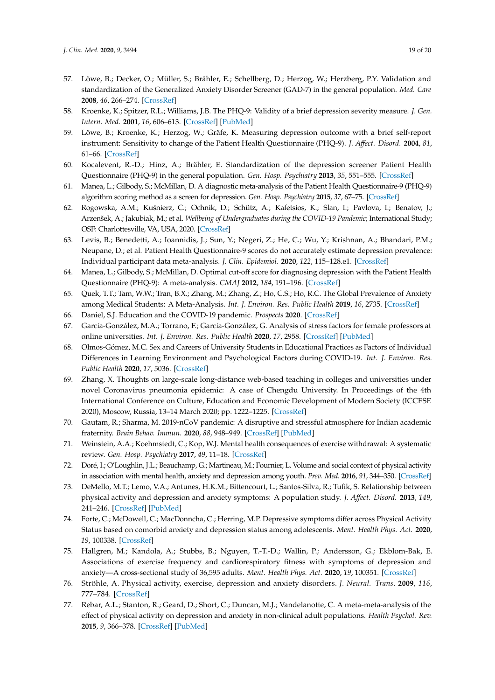- <span id="page-18-0"></span>57. Löwe, B.; Decker, O.; Müller, S.; Brähler, E.; Schellberg, D.; Herzog, W.; Herzberg, P.Y. Validation and standardization of the Generalized Anxiety Disorder Screener (GAD-7) in the general population. *Med. Care* **2008**, *46*, 266–274. [\[CrossRef\]](http://dx.doi.org/10.1097/MLR.0b013e318160d093)
- <span id="page-18-1"></span>58. Kroenke, K.; Spitzer, R.L.; Williams, J.B. The PHQ-9: Validity of a brief depression severity measure. *J. Gen. Intern. Med.* **2001**, *16*, 606–613. [\[CrossRef\]](http://dx.doi.org/10.1046/j.1525-1497.2001.016009606.x) [\[PubMed\]](http://www.ncbi.nlm.nih.gov/pubmed/11556941)
- <span id="page-18-2"></span>59. Löwe, B.; Kroenke, K.; Herzog, W.; Gräfe, K. Measuring depression outcome with a brief self-report instrument: Sensitivity to change of the Patient Health Questionnaire (PHQ-9). *J. A*ff*ect. Disord.* **2004**, *81*, 61–66. [\[CrossRef\]](http://dx.doi.org/10.1016/S0165-0327(03)00198-8)
- <span id="page-18-3"></span>60. Kocalevent, R.-D.; Hinz, A.; Brähler, E. Standardization of the depression screener Patient Health Questionnaire (PHQ-9) in the general population. *Gen. Hosp. Psychiatry* **2013**, *35*, 551–555. [\[CrossRef\]](http://dx.doi.org/10.1016/j.genhosppsych.2013.04.006)
- <span id="page-18-4"></span>61. Manea, L.; Gilbody, S.; McMillan, D. A diagnostic meta-analysis of the Patient Health Questionnaire-9 (PHQ-9) algorithm scoring method as a screen for depression. *Gen. Hosp. Psychiatry* **2015**, *37*, 67–75. [\[CrossRef\]](http://dx.doi.org/10.1016/j.genhosppsych.2014.09.009)
- <span id="page-18-5"></span>62. Rogowska, A.M.; Kuśnierz, C.; Ochnik, D.; Schütz, A.; Kafetsios, K.; Slan, I.; Pavlova, I.; Benatov, J.; Arzenšek, A.; Jakubiak, M.; et al. *Wellbeing of Undergraduates during the COVID-19 Pandemic*; International Study; OSF: Charlottesville, VA, USA, 2020. [\[CrossRef\]](http://dx.doi.org/10.17605/OSF.IO/Q5F4E)
- <span id="page-18-6"></span>63. Levis, B.; Benedetti, A.; Ioannidis, J.; Sun, Y.; Negeri, Z.; He, C.; Wu, Y.; Krishnan, A.; Bhandari, P.M.; Neupane, D.; et al. Patient Health Questionnaire-9 scores do not accurately estimate depression prevalence: Individual participant data meta-analysis. *J. Clin. Epidemiol.* **2020**, *122*, 115–128.e1. [\[CrossRef\]](http://dx.doi.org/10.1016/j.jclinepi.2020.02.002)
- <span id="page-18-7"></span>64. Manea, L.; Gilbody, S.; McMillan, D. Optimal cut-off score for diagnosing depression with the Patient Health Questionnaire (PHQ-9): A meta-analysis. *CMAJ* **2012**, *184*, 191–196. [\[CrossRef\]](http://dx.doi.org/10.1503/cmaj.110829)
- <span id="page-18-8"></span>65. Quek, T.T.; Tam, W.W.; Tran, B.X.; Zhang, M.; Zhang, Z.; Ho, C.S.; Ho, R.C. The Global Prevalence of Anxiety among Medical Students: A Meta-Analysis. *Int. J. Environ. Res. Public Health* **2019**, *16*, 2735. [\[CrossRef\]](http://dx.doi.org/10.3390/ijerph16152735)
- <span id="page-18-9"></span>66. Daniel, S.J. Education and the COVID-19 pandemic. *Prospects* **2020**. [\[CrossRef\]](http://dx.doi.org/10.1007/s11125-020-09464-3)
- 67. García-González, M.A.; Torrano, F.; García-González, G. Analysis of stress factors for female professors at online universities. *Int. J. Environ. Res. Public Health* **2020**, *17*, 2958. [\[CrossRef\]](http://dx.doi.org/10.3390/ijerph17082958) [\[PubMed\]](http://www.ncbi.nlm.nih.gov/pubmed/32344638)
- 68. Olmos-Gómez, M.C. Sex and Careers of University Students in Educational Practices as Factors of Individual Differences in Learning Environment and Psychological Factors during COVID-19. *Int. J. Environ. Res. Public Health* **2020**, *17*, 5036. [\[CrossRef\]](http://dx.doi.org/10.3390/ijerph17145036)
- <span id="page-18-10"></span>69. Zhang, X. Thoughts on large-scale long-distance web-based teaching in colleges and universities under novel Coronavirus pneumonia epidemic: A case of Chengdu University. In Proceedings of the 4th International Conference on Culture, Education and Economic Development of Modern Society (ICCESE 2020), Moscow, Russia, 13–14 March 2020; pp. 1222–1225. [\[CrossRef\]](http://dx.doi.org/10.2991/assehr.k.200316.266)
- <span id="page-18-11"></span>70. Gautam, R.; Sharma, M. 2019-nCoV pandemic: A disruptive and stressful atmosphere for Indian academic fraternity. *Brain Behav. Immun.* **2020**, *88*, 948–949. [\[CrossRef\]](http://dx.doi.org/10.1016/j.bbi.2020.04.025) [\[PubMed\]](http://www.ncbi.nlm.nih.gov/pubmed/32289366)
- <span id="page-18-12"></span>71. Weinstein, A.A.; Koehmstedt, C.; Kop, W.J. Mental health consequences of exercise withdrawal: A systematic review. *Gen. Hosp. Psychiatry* **2017**, *49*, 11–18. [\[CrossRef\]](http://dx.doi.org/10.1016/j.genhosppsych.2017.06.001)
- <span id="page-18-13"></span>72. Doré, I.; O'Loughlin, J.L.; Beauchamp, G.; Martineau, M.; Fournier, L. Volume and social context of physical activity in association with mental health, anxiety and depression among youth. *Prev. Med.* **2016**, *91*, 344–350. [\[CrossRef\]](http://dx.doi.org/10.1016/j.ypmed.2016.09.006)
- <span id="page-18-14"></span>73. DeMello, M.T.; Lemo, V.A.; Antunes, H.K.M.; Bittencourt, L.; Santos-Silva, R.; Tufik, S. Relationship between physical activity and depression and anxiety symptoms: A population study. *J. A*ff*ect. Disord.* **2013**, *149*, 241–246. [\[CrossRef\]](http://dx.doi.org/10.1016/j.jad.2013.01.035) [\[PubMed\]](http://www.ncbi.nlm.nih.gov/pubmed/23489405)
- <span id="page-18-15"></span>74. Forte, C.; McDowell, C.; MacDonncha, C.; Herring, M.P. Depressive symptoms differ across Physical Activity Status based on comorbid anxiety and depression status among adolescents. *Ment. Health Phys. Act.* **2020**, *19*, 100338. [\[CrossRef\]](http://dx.doi.org/10.1016/j.mhpa.2020.100338)
- <span id="page-18-16"></span>75. Hallgren, M.; Kandola, A.; Stubbs, B.; Nguyen, T.-T.-D.; Wallin, P.; Andersson, G.; Ekblom-Bak, E. Associations of exercise frequency and cardiorespiratory fitness with symptoms of depression and anxiety—A cross-sectional study of 36,595 adults. *Ment. Health Phys. Act.* **2020**, *19*, 100351. [\[CrossRef\]](http://dx.doi.org/10.1016/j.mhpa.2020.100351)
- <span id="page-18-17"></span>76. Ströhle, A. Physical activity, exercise, depression and anxiety disorders. *J. Neural. Trans.* **2009**, *116*, 777–784. [\[CrossRef\]](http://dx.doi.org/10.1007/s00702-008-0092-x)
- <span id="page-18-18"></span>77. Rebar, A.L.; Stanton, R.; Geard, D.; Short, C.; Duncan, M.J.; Vandelanotte, C. A meta-meta-analysis of the effect of physical activity on depression and anxiety in non-clinical adult populations. *Health Psychol. Rev.* **2015**, *9*, 366–378. [\[CrossRef\]](http://dx.doi.org/10.1080/17437199.2015.1022901) [\[PubMed\]](http://www.ncbi.nlm.nih.gov/pubmed/25739893)